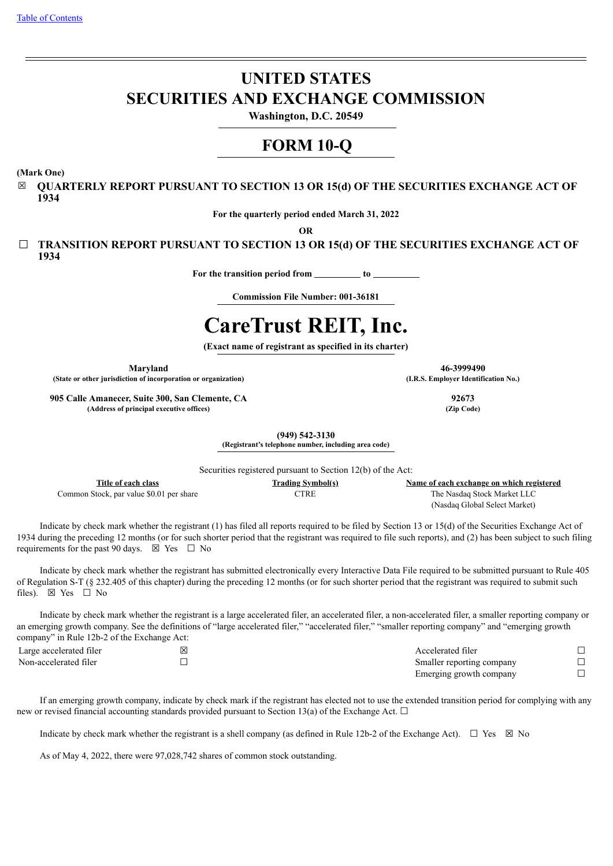## **UNITED STATES SECURITIES AND EXCHANGE COMMISSION**

**Washington, D.C. 20549**

## **FORM 10-Q**

**(Mark One)**

☒ **QUARTERLY REPORT PURSUANT TO SECTION 13 OR 15(d) OF THE SECURITIES EXCHANGE ACT OF 1934**

**For the quarterly period ended March 31, 2022**

**OR**

☐ **TRANSITION REPORT PURSUANT TO SECTION 13 OR 15(d) OF THE SECURITIES EXCHANGE ACT OF 1934**

**For the transition period from to**

**Commission File Number: 001-36181**

# **CareTrust REIT, Inc.**

**(Exact name of registrant as specified in its charter)**

**(State or other jurisdiction of incorporation or organization) (I.R.S. Employer Identification No.)**

**905 Calle Amanecer, Suite 300, San Clemente, CA 92673 (Address of principal executive offices) (Zip Code)**

**(949) 542-3130 (Registrant's telephone number, including area code)**

Securities registered pursuant to Section 12(b) of the Act:

| Title of each class                      | <b>Trading Symbol(s)</b> | Name of each exchange on which registered |
|------------------------------------------|--------------------------|-------------------------------------------|
| Common Stock, par value \$0.01 per share | ~TRE                     | The Nasdaq Stock Market LLC               |
|                                          |                          | (Nasdaq Global Select Market)             |

Indicate by check mark whether the registrant (1) has filed all reports required to be filed by Section 13 or 15(d) of the Securities Exchange Act of 1934 during the preceding 12 months (or for such shorter period that the registrant was required to file such reports), and (2) has been subject to such filing requirements for the past 90 days.  $\boxtimes$  Yes  $\Box$  No

Indicate by check mark whether the registrant has submitted electronically every Interactive Data File required to be submitted pursuant to Rule 405 of Regulation S-T (§ 232.405 of this chapter) during the preceding 12 months (or for such shorter period that the registrant was required to submit such files).  $\boxtimes$  Yes  $\Box$  No

Indicate by check mark whether the registrant is a large accelerated filer, an accelerated filer, a non-accelerated filer, a smaller reporting company or an emerging growth company. See the definitions of "large accelerated filer," "accelerated filer," "smaller reporting company" and "emerging growth company" in Rule 12b-2 of the Exchange Act:

| Large accelerated filer | Accelerated filer         |  |
|-------------------------|---------------------------|--|
| Non-accelerated filer   | Smaller reporting company |  |
|                         | Emerging growth company   |  |

If an emerging growth company, indicate by check mark if the registrant has elected not to use the extended transition period for complying with any new or revised financial accounting standards provided pursuant to Section 13(a) of the Exchange Act.  $\Box$ 

Indicate by check mark whether the registrant is a shell company (as defined in Rule 12b-2 of the Exchange Act).  $\Box$  Yes  $\boxtimes$  No

As of May 4, 2022, there were 97,028,742 shares of common stock outstanding.

**Maryland 46-3999490**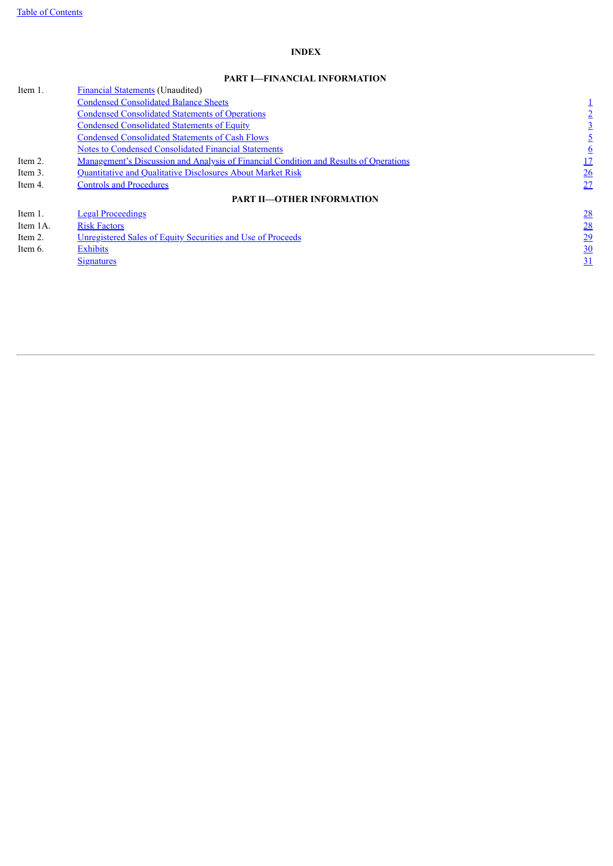## **INDEX**

## **PART I—FINANCIAL INFORMATION**

<span id="page-2-0"></span>

| Item 1.  | Financial Statements (Unaudited)                                                             |                |
|----------|----------------------------------------------------------------------------------------------|----------------|
|          | <b>Condensed Consolidated Balance Sheets</b>                                                 |                |
|          | <b>Condensed Consolidated Statements of Operations</b>                                       |                |
|          | <b>Condensed Consolidated Statements of Equity</b>                                           |                |
|          | <b>Condensed Consolidated Statements of Cash Flows</b>                                       |                |
|          | <b>Notes to Condensed Consolidated Financial Statements</b>                                  |                |
| Item 2.  | <u>Management's Discussion and Analysis of Financial Condition and Results of Operations</u> | 17             |
| Item 3.  | <b>Quantitative and Qualitative Disclosures About Market Risk</b>                            | $\frac{26}{5}$ |
| Item 4.  | <b>Controls and Procedures</b>                                                               | 27             |
|          | <b>PART II-OTHER INFORMATION</b>                                                             |                |
| Item 1.  | <b>Legal Proceedings</b>                                                                     | 28             |
| Item 1A. | <b>Risk Factors</b>                                                                          | 28             |
| Item 2.  | Unregistered Sales of Equity Securities and Use of Proceeds                                  | 29             |
| Item 6.  | <b>Exhibits</b>                                                                              | 30             |
|          | <b>Signatures</b>                                                                            | <u>31</u>      |
|          |                                                                                              |                |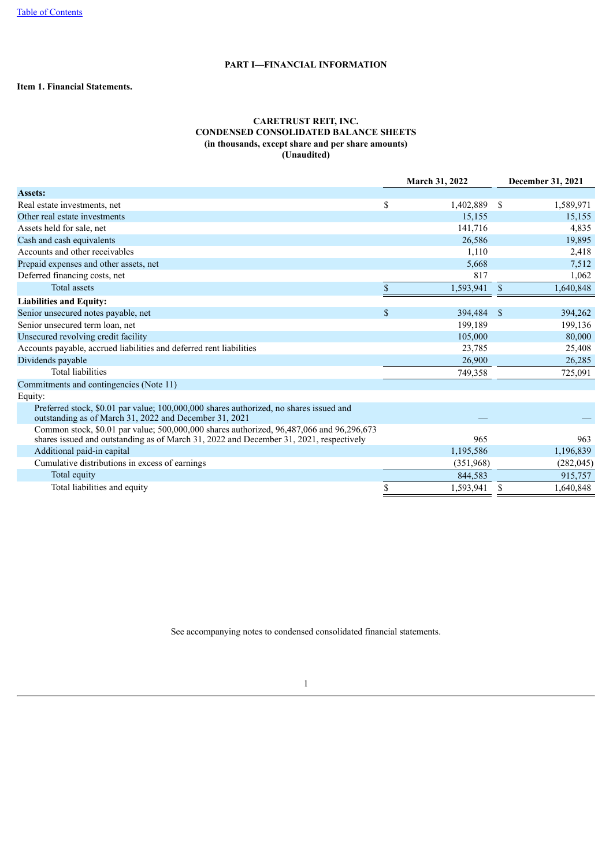## **PART I—FINANCIAL INFORMATION**

## <span id="page-3-0"></span>**Item 1. Financial Statements.**

## **CARETRUST REIT, INC. CONDENSED CONSOLIDATED BALANCE SHEETS (in thousands, except share and per share amounts) (Unaudited)**

|                                                                                                                                                                                    |              | <b>March 31, 2022</b> |     | December 31, 2021 |  |  |
|------------------------------------------------------------------------------------------------------------------------------------------------------------------------------------|--------------|-----------------------|-----|-------------------|--|--|
| <b>Assets:</b>                                                                                                                                                                     |              |                       |     |                   |  |  |
| Real estate investments, net                                                                                                                                                       | \$           | 1,402,889             | -\$ | 1,589,971         |  |  |
| Other real estate investments                                                                                                                                                      |              | 15,155                |     | 15,155            |  |  |
| Assets held for sale, net                                                                                                                                                          |              | 141,716               |     | 4,835             |  |  |
| Cash and cash equivalents                                                                                                                                                          |              | 26,586                |     | 19,895            |  |  |
| Accounts and other receivables                                                                                                                                                     |              | 1,110                 |     | 2,418             |  |  |
| Prepaid expenses and other assets, net                                                                                                                                             |              | 5,668                 |     | 7,512             |  |  |
| Deferred financing costs, net                                                                                                                                                      |              | 817                   |     | 1,062             |  |  |
| <b>Total assets</b>                                                                                                                                                                | $\mathbb{S}$ | 1,593,941             | \$  | 1,640,848         |  |  |
| <b>Liabilities and Equity:</b>                                                                                                                                                     |              |                       |     |                   |  |  |
| Senior unsecured notes payable, net                                                                                                                                                | $\mathbf S$  | 394,484 \$            |     | 394,262           |  |  |
| Senior unsecured term loan, net                                                                                                                                                    |              | 199,189               |     | 199,136           |  |  |
| Unsecured revolving credit facility                                                                                                                                                |              | 105,000               |     | 80,000            |  |  |
| Accounts payable, accrued liabilities and deferred rent liabilities                                                                                                                |              | 23,785                |     | 25,408            |  |  |
| Dividends payable                                                                                                                                                                  |              | 26,900                |     | 26,285            |  |  |
| <b>Total liabilities</b>                                                                                                                                                           |              | 749,358               |     | 725,091           |  |  |
| Commitments and contingencies (Note 11)                                                                                                                                            |              |                       |     |                   |  |  |
| Equity:                                                                                                                                                                            |              |                       |     |                   |  |  |
| Preferred stock, \$0.01 par value; 100,000,000 shares authorized, no shares issued and<br>outstanding as of March 31, 2022 and December 31, 2021                                   |              |                       |     |                   |  |  |
| Common stock, \$0.01 par value; 500,000,000 shares authorized, 96,487,066 and 96,296,673<br>shares issued and outstanding as of March 31, 2022 and December 31, 2021, respectively |              | 965                   |     | 963               |  |  |
| Additional paid-in capital                                                                                                                                                         |              | 1,195,586             |     | 1,196,839         |  |  |
| Cumulative distributions in excess of earnings                                                                                                                                     |              | (351,968)             |     | (282, 045)        |  |  |
| Total equity                                                                                                                                                                       |              | 844,583               |     | 915,757           |  |  |
| Total liabilities and equity                                                                                                                                                       |              | 1,593,941             | \$  | 1,640,848         |  |  |

<span id="page-3-1"></span>See accompanying notes to condensed consolidated financial statements.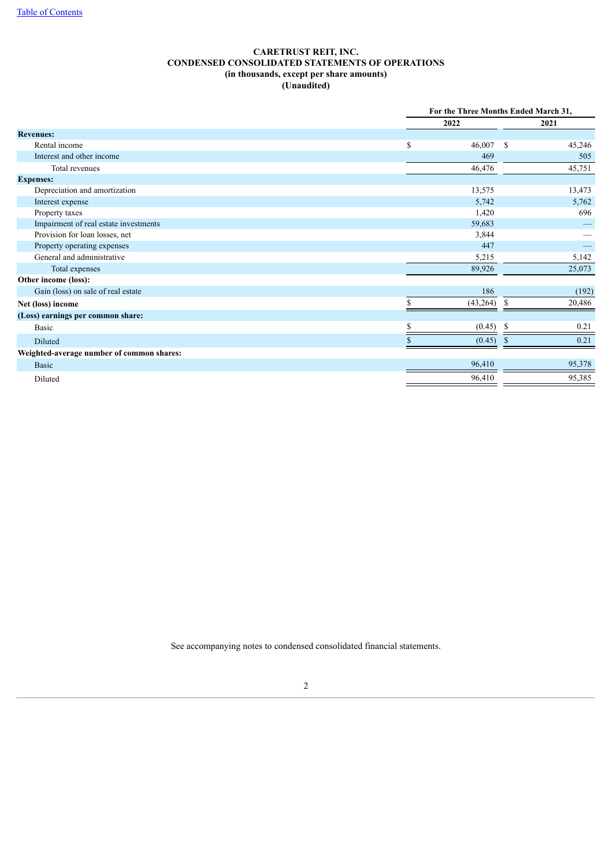## **CARETRUST REIT, INC. CONDENSED CONSOLIDATED STATEMENTS OF OPERATIONS (in thousands, except per share amounts) (Unaudited)**

|                                           |    | For the Three Months Ended March 31, |               |        |  |
|-------------------------------------------|----|--------------------------------------|---------------|--------|--|
|                                           |    | 2022                                 | 2021          |        |  |
| <b>Revenues:</b>                          |    |                                      |               |        |  |
| Rental income                             | \$ | 46,007                               | <sup>\$</sup> | 45,246 |  |
| Interest and other income                 |    | 469                                  |               | 505    |  |
| Total revenues                            |    | 46,476                               |               | 45,751 |  |
| <b>Expenses:</b>                          |    |                                      |               |        |  |
| Depreciation and amortization             |    | 13,575                               |               | 13,473 |  |
| Interest expense                          |    | 5,742                                |               | 5,762  |  |
| Property taxes                            |    | 1,420                                |               | 696    |  |
| Impairment of real estate investments     |    | 59,683                               |               |        |  |
| Provision for loan losses, net            |    | 3,844                                |               |        |  |
| Property operating expenses               |    | 447                                  |               |        |  |
| General and administrative                |    | 5,215                                |               | 5,142  |  |
| Total expenses                            |    | 89,926                               |               | 25,073 |  |
| Other income (loss):                      |    |                                      |               |        |  |
| Gain (loss) on sale of real estate        |    | 186                                  |               | (192)  |  |
| Net (loss) income                         | S  | (43,264)                             | <sup>S</sup>  | 20,486 |  |
| (Loss) earnings per common share:         |    |                                      |               |        |  |
| <b>Basic</b>                              | S  | (0.45)                               | <sup>\$</sup> | 0.21   |  |
| Diluted                                   |    | (0.45)                               | -85           | 0.21   |  |
| Weighted-average number of common shares: |    |                                      |               |        |  |
| <b>Basic</b>                              |    | 96,410                               |               | 95,378 |  |
| Diluted                                   |    | 96,410                               |               | 95,385 |  |
|                                           |    |                                      |               |        |  |

<span id="page-4-0"></span>See accompanying notes to condensed consolidated financial statements.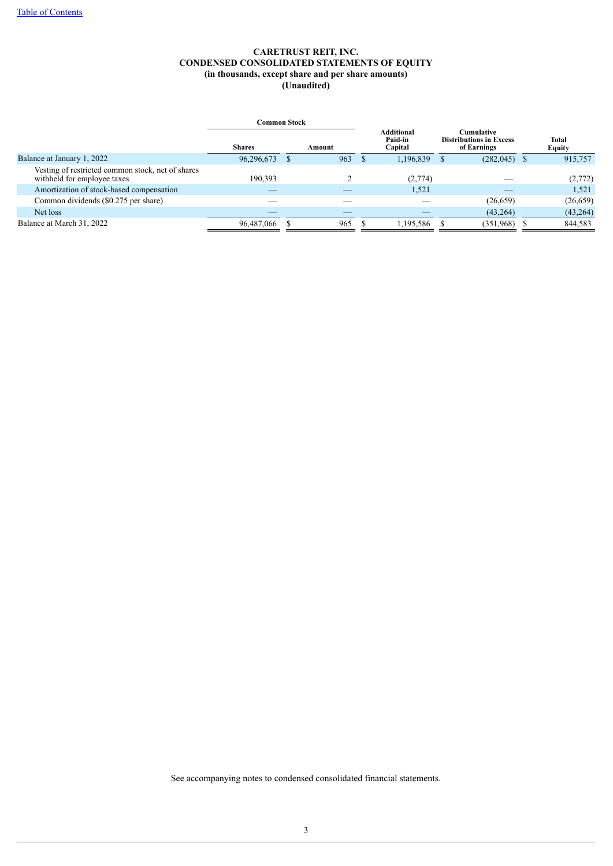## **CARETRUST REIT, INC. CONDENSED CONSOLIDATED STATEMENTS OF EQUITY (in thousands, except share and per share amounts) (Unaudited)**

|                                                                                  | <b>Shares</b>                                           | Amount |              | <b>Additional</b><br>Paid-in<br>Capital |  | Cumulative<br>of Earnings |                                | <b>Total</b><br><b>Equity</b> |
|----------------------------------------------------------------------------------|---------------------------------------------------------|--------|--------------|-----------------------------------------|--|---------------------------|--------------------------------|-------------------------------|
|                                                                                  | 96,296,673                                              | 963    |              | 1,196,839                               |  |                           |                                | 915,757                       |
| Vesting of restricted common stock, net of shares<br>withheld for employee taxes | 190,393                                                 |        |              | (2,774)                                 |  |                           |                                | (2,772)                       |
| Amortization of stock-based compensation                                         |                                                         |        |              | 1,521                                   |  |                           |                                | 1,521                         |
| Common dividends (\$0.275 per share)                                             |                                                         |        |              |                                         |  | (26, 659)                 |                                | (26, 659)                     |
| Net loss                                                                         |                                                         |        |              |                                         |  | (43,264)                  |                                | (43,264)                      |
|                                                                                  | 96,487,066                                              | 965    |              | 1,195,586                               |  | (351,968)                 |                                | 844,583                       |
|                                                                                  | Balance at January 1, 2022<br>Balance at March 31, 2022 |        | Common Stock |                                         |  |                           | <b>Distributions in Excess</b> | $(282,045)$ \$                |

See accompanying notes to condensed consolidated financial statements.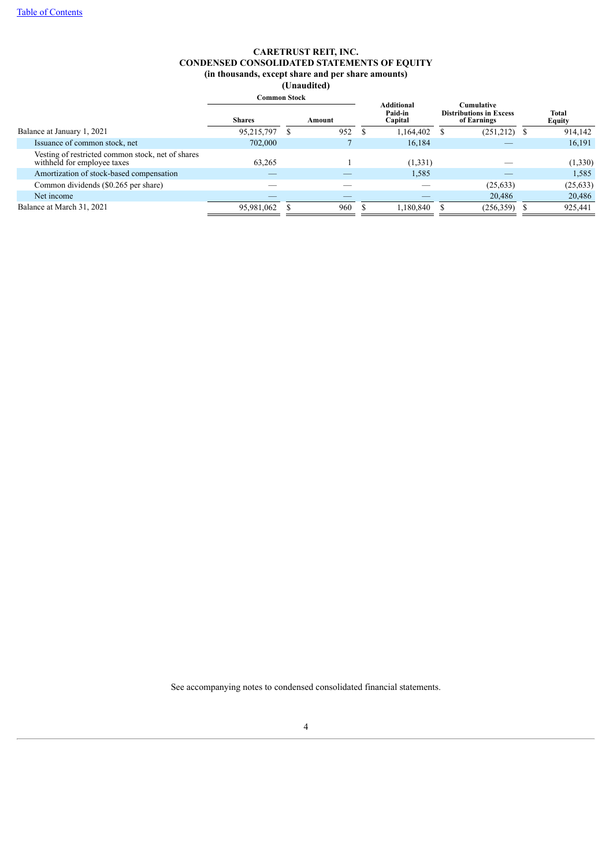## **CARETRUST REIT, INC. CONDENSED CONSOLIDATED STATEMENTS OF EQUITY (in thousands, except share and per share amounts) (Unaudited)**

**Common Stock**

|                                                                                  | сошной экоск  |  |        |  |                    |  |                   |  |                                                             |  |                        |
|----------------------------------------------------------------------------------|---------------|--|--------|--|--------------------|--|-------------------|--|-------------------------------------------------------------|--|------------------------|
|                                                                                  | <b>Shares</b> |  | Amount |  | Paid-in<br>Capital |  | <b>Additional</b> |  | Cumulative<br><b>Distributions in Excess</b><br>of Earnings |  | Total<br><b>Equity</b> |
| Balance at January 1, 2021                                                       | 95,215,797    |  | 952    |  | 1,164,402          |  | $(251,212)$ \$    |  | 914,142                                                     |  |                        |
| Issuance of common stock, net                                                    | 702,000       |  |        |  | 16,184             |  |                   |  | 16,191                                                      |  |                        |
| Vesting of restricted common stock, net of shares<br>withheld for employee taxes | 63.265        |  |        |  | (1, 331)           |  |                   |  | (1,330)                                                     |  |                        |
| Amortization of stock-based compensation                                         |               |  |        |  | 1,585              |  |                   |  | 1,585                                                       |  |                        |
| Common dividends (\$0.265 per share)                                             |               |  |        |  |                    |  | (25, 633)         |  | (25, 633)                                                   |  |                        |
| Net income                                                                       |               |  |        |  |                    |  | 20,486            |  | 20,486                                                      |  |                        |
| Balance at March 31, 2021                                                        | 95,981,062    |  | 960    |  | .180,840           |  | (256, 359)        |  | 925,441                                                     |  |                        |
|                                                                                  |               |  |        |  |                    |  |                   |  |                                                             |  |                        |

<span id="page-6-0"></span>See accompanying notes to condensed consolidated financial statements.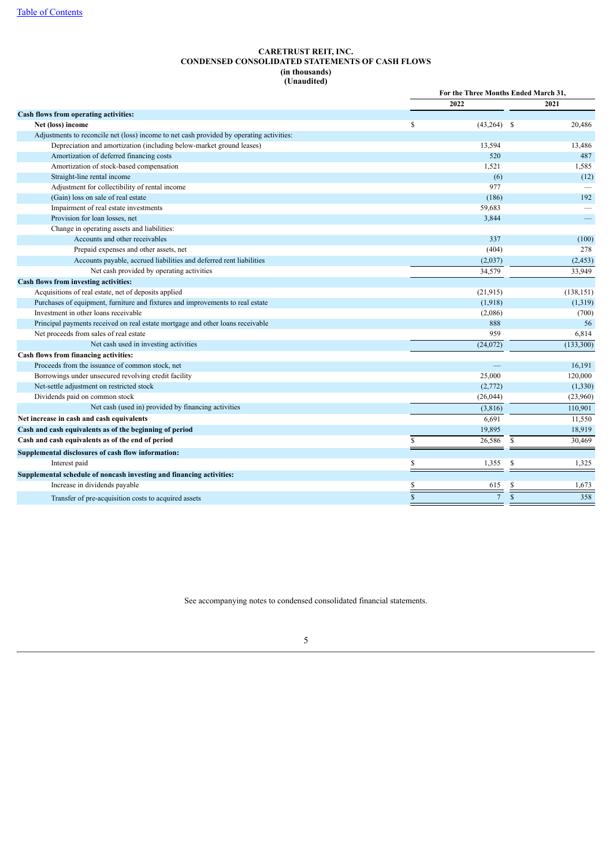#### **CARETRUST REIT, INC. CONDENSED CONSOLIDATED STATEMENTS OF CASH FLOWS (in thousands) (Unaudited)**

|                                                                                          | For the Three Months Ended March 31, |               |    |            |
|------------------------------------------------------------------------------------------|--------------------------------------|---------------|----|------------|
|                                                                                          |                                      | 2022          |    | 2021       |
| Cash flows from operating activities:                                                    |                                      |               |    |            |
| Net (loss) income                                                                        | \$                                   | $(43,264)$ \$ |    | 20,486     |
| Adjustments to reconcile net (loss) income to net cash provided by operating activities: |                                      |               |    |            |
| Depreciation and amortization (including below-market ground leases)                     |                                      | 13,594        |    | 13,486     |
| Amortization of deferred financing costs                                                 |                                      | 520           |    | 487        |
| Amortization of stock-based compensation                                                 |                                      | 1,521         |    | 1,585      |
| Straight-line rental income                                                              |                                      | (6)           |    | (12)       |
| Adjustment for collectibility of rental income                                           |                                      | 977           |    |            |
| (Gain) loss on sale of real estate                                                       |                                      | (186)         |    | 192        |
| Impairment of real estate investments                                                    |                                      | 59,683        |    |            |
| Provision for loan losses, net                                                           |                                      | 3,844         |    |            |
| Change in operating assets and liabilities:                                              |                                      |               |    |            |
| Accounts and other receivables                                                           |                                      | 337           |    | (100)      |
| Prepaid expenses and other assets, net                                                   |                                      | (404)         |    | 278        |
| Accounts payable, accrued liabilities and deferred rent liabilities                      |                                      | (2,037)       |    | (2, 453)   |
| Net cash provided by operating activities                                                |                                      | 34,579        |    | 33,949     |
| Cash flows from investing activities:                                                    |                                      |               |    |            |
| Acquisitions of real estate, net of deposits applied                                     |                                      | (21, 915)     |    | (138, 151) |
| Purchases of equipment, furniture and fixtures and improvements to real estate           |                                      | (1,918)       |    | (1,319)    |
| Investment in other loans receivable                                                     |                                      | (2,086)       |    | (700)      |
| Principal payments received on real estate mortgage and other loans receivable           |                                      | 888           |    | 56         |
| Net proceeds from sales of real estate                                                   |                                      | 959           |    | 6,814      |
| Net cash used in investing activities                                                    |                                      | (24,072)      |    | (133,300)  |
| Cash flows from financing activities:                                                    |                                      |               |    |            |
| Proceeds from the issuance of common stock, net                                          |                                      |               |    | 16,191     |
| Borrowings under unsecured revolving credit facility                                     |                                      | 25,000        |    | 120,000    |
| Net-settle adjustment on restricted stock                                                |                                      | (2,772)       |    | (1, 330)   |
| Dividends paid on common stock                                                           |                                      | (26,044)      |    | (23,960)   |
| Net cash (used in) provided by financing activities                                      |                                      | (3,816)       |    | 110,901    |
| Net increase in cash and cash equivalents                                                |                                      | 6,691         |    | 11,550     |
| Cash and cash equivalents as of the beginning of period                                  |                                      | 19,895        |    | 18,919     |
| Cash and cash equivalents as of the end of period                                        | \$                                   | 26,586        | \$ | 30,469     |
| Supplemental disclosures of cash flow information:                                       |                                      |               |    |            |
| Interest paid                                                                            | \$.                                  | 1,355         | \$ | 1,325      |
| Supplemental schedule of noncash investing and financing activities:                     |                                      |               |    |            |
| Increase in dividends payable                                                            |                                      | 615           |    | 1,673      |
| Transfer of pre-acquisition costs to acquired assets                                     | $\mathbf{\hat{S}}$                   |               |    | 358        |
|                                                                                          |                                      |               |    |            |

<span id="page-7-0"></span>See accompanying notes to condensed consolidated financial statements.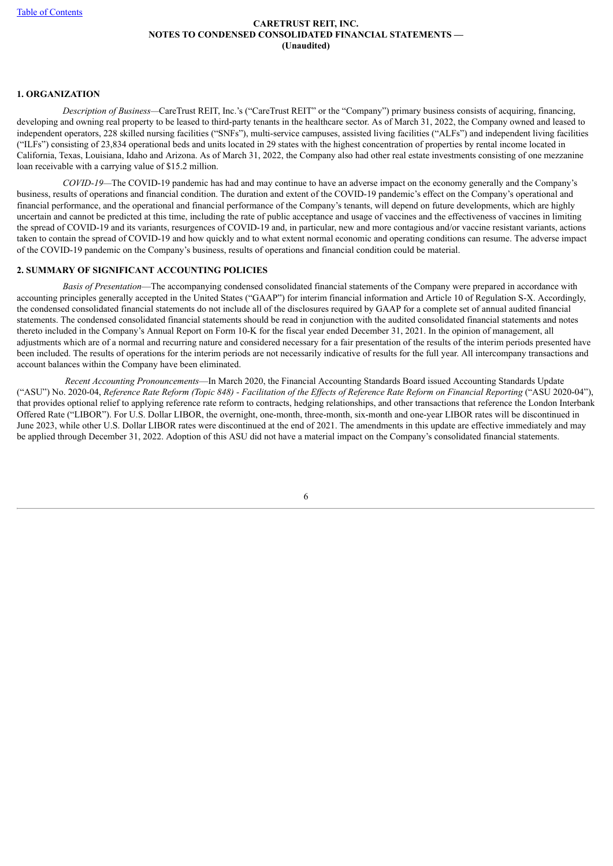#### **1. ORGANIZATION**

*Description of Business—*CareTrust REIT, Inc.'s ("CareTrust REIT" or the "Company") primary business consists of acquiring, financing, developing and owning real property to be leased to third-party tenants in the healthcare sector. As of March 31, 2022, the Company owned and leased to independent operators, 228 skilled nursing facilities ("SNFs"), multi-service campuses, assisted living facilities ("ALFs") and independent living facilities ("ILFs") consisting of 23,834 operational beds and units located in 29 states with the highest concentration of properties by rental income located in California, Texas, Louisiana, Idaho and Arizona. As of March 31, 2022, the Company also had other real estate investments consisting of one mezzanine loan receivable with a carrying value of \$15.2 million.

*COVID-19—*The COVID-19 pandemic has had and may continue to have an adverse impact on the economy generally and the Company's business, results of operations and financial condition. The duration and extent of the COVID-19 pandemic's effect on the Company's operational and financial performance, and the operational and financial performance of the Company's tenants, will depend on future developments, which are highly uncertain and cannot be predicted at this time, including the rate of public acceptance and usage of vaccines and the effectiveness of vaccines in limiting the spread of COVID-19 and its variants, resurgences of COVID-19 and, in particular, new and more contagious and/or vaccine resistant variants, actions taken to contain the spread of COVID-19 and how quickly and to what extent normal economic and operating conditions can resume. The adverse impact of the COVID-19 pandemic on the Company's business, results of operations and financial condition could be material.

## **2. SUMMARY OF SIGNIFICANT ACCOUNTING POLICIES**

*Basis of Presentation*—The accompanying condensed consolidated financial statements of the Company were prepared in accordance with accounting principles generally accepted in the United States ("GAAP") for interim financial information and Article 10 of Regulation S-X. Accordingly, the condensed consolidated financial statements do not include all of the disclosures required by GAAP for a complete set of annual audited financial statements. The condensed consolidated financial statements should be read in conjunction with the audited consolidated financial statements and notes thereto included in the Company's Annual Report on Form 10-K for the fiscal year ended December 31, 2021. In the opinion of management, all adjustments which are of a normal and recurring nature and considered necessary for a fair presentation of the results of the interim periods presented have been included. The results of operations for the interim periods are not necessarily indicative of results for the full year. All intercompany transactions and account balances within the Company have been eliminated.

*Recent Accounting Pronouncements*—In March 2020, the Financial Accounting Standards Board issued Accounting Standards Update ("ASU") No. 2020-04, Reference Rate Reform (Topic 848) - Facilitation of the Effects of Reference Rate Reform on Financial Reporting ("ASU 2020-04"), that provides optional relief to applying reference rate reform to contracts, hedging relationships, and other transactions that reference the London Interbank Offered Rate ("LIBOR"). For U.S. Dollar LIBOR, the overnight, one-month, three-month, six-month and one-year LIBOR rates will be discontinued in June 2023, while other U.S. Dollar LIBOR rates were discontinued at the end of 2021. The amendments in this update are effective immediately and may be applied through December 31, 2022. Adoption of this ASU did not have a material impact on the Company's consolidated financial statements.

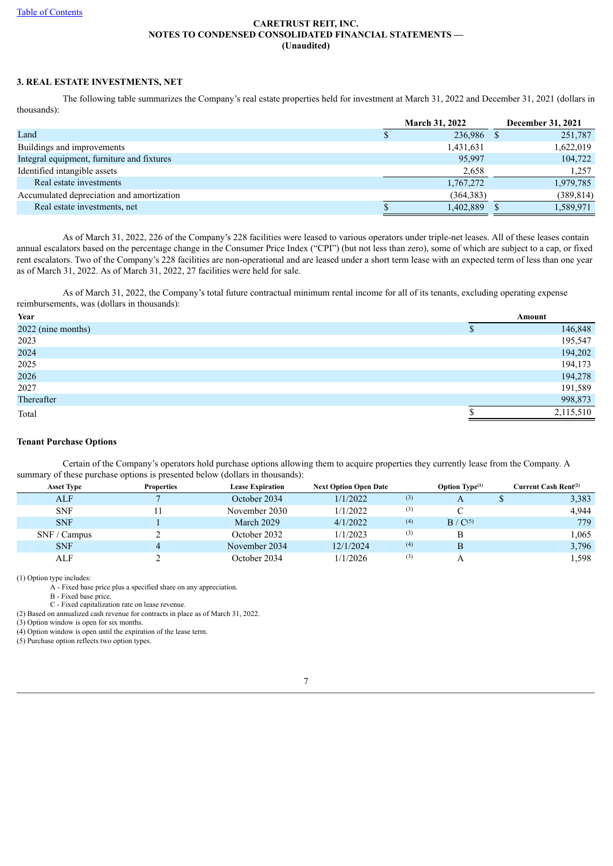## **3. REAL ESTATE INVESTMENTS, NET**

The following table summarizes the Company's real estate properties held for investment at March 31, 2022 and December 31, 2021 (dollars in thousands):

|                                            | <b>March 31, 2022</b> | December 31, 2021 |
|--------------------------------------------|-----------------------|-------------------|
| Land                                       | 236,986               | 251,787           |
| Buildings and improvements                 | 1,431,631             | 1,622,019         |
| Integral equipment, furniture and fixtures | 95,997                | 104,722           |
| Identified intangible assets               | 2,658                 | 1,257             |
| Real estate investments                    | 1,767,272             | 1,979,785         |
| Accumulated depreciation and amortization  | (364, 383)            | (389, 814)        |
| Real estate investments, net               | 1,402,889             | 1,589,971         |
|                                            |                       |                   |

As of March 31, 2022, 226 of the Company's 228 facilities were leased to various operators under triple-net leases. All of these leases contain annual escalators based on the percentage change in the Consumer Price Index ("CPI") (but not less than zero), some of which are subject to a cap, or fixed rent escalators. Two of the Company's 228 facilities are non-operational and are leased under a short term lease with an expected term of less than one year as of March 31, 2022. As of March 31, 2022, 27 facilities were held for sale.

As of March 31, 2022, the Company's total future contractual minimum rental income for all of its tenants, excluding operating expense reimbursements, was (dollars in thousands):

| Year               | Amount    |
|--------------------|-----------|
| 2022 (nine months) | 146,848   |
| 2023               | 195,547   |
| 2024               | 194,202   |
| 2025               | 194,173   |
| 2026               | 194,278   |
| 2027               | 191,589   |
| Thereafter         | 998,873   |
| Total              | 2,115,510 |

#### **Tenant Purchase Options**

Certain of the Company's operators hold purchase options allowing them to acquire properties they currently lease from the Company. A summary of these purchase options is presented below (dollars in thousands):

| <b>Asset Type</b> | <b>Properties</b> | <b>Lease Expiration</b> | <b>Next Option Open Date</b> |     | <b>Option Type</b> $^{(1)}$ | Current Cash Rent <sup>(2)</sup> |
|-------------------|-------------------|-------------------------|------------------------------|-----|-----------------------------|----------------------------------|
| ALF               |                   | October 2034            | 1/1/2022                     | (3) | A                           | 3,383                            |
| <b>SNF</b>        |                   | November 2030           | 1/1/2022                     | (3) |                             | 4.944                            |
| <b>SNF</b>        |                   | March 2029              | 4/1/2022                     | (4) | $R / C^{(5)}$               | 779                              |
| SNF / Campus      |                   | October 2032            | 1/1/2023                     | (3) |                             | 1,065                            |
| <b>SNF</b>        | 4                 | November 2034           | 12/1/2024                    | (4) | B                           | 3,796                            |
| ALF               |                   | October 2034            | 1/1/2026                     | (3) |                             | 1,598                            |

(1) Option type includes:

A - Fixed base price plus a specified share on any appreciation.

B - Fixed base price.

C - Fixed capitalization rate on lease revenue.

(2) Based on annualized cash revenue for contracts in place as of March 31, 2022.

(3) Option window is open for six months. (4) Option window is open until the expiration of the lease term.

(5) Purchase option reflects two option types.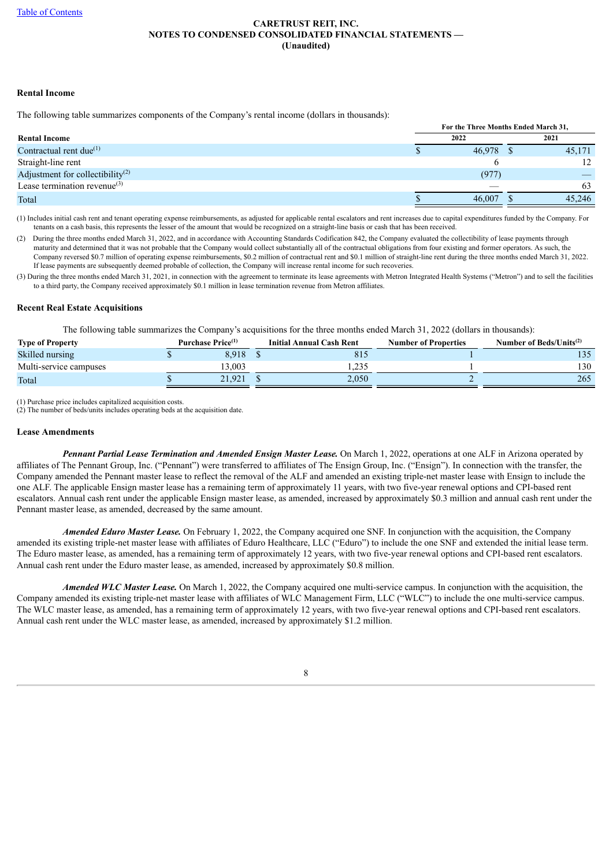#### **Rental Income**

The following table summarizes components of the Company's rental income (dollars in thousands):

|                                          | For the Three Months Ended March 31, |           |  |        |  |  |  |
|------------------------------------------|--------------------------------------|-----------|--|--------|--|--|--|
| <b>Rental Income</b>                     |                                      | 2022      |  | 2021   |  |  |  |
| Contractual rent due $^{(1)}$            |                                      | 46,978 \$ |  | 45,171 |  |  |  |
| Straight-line rent                       |                                      |           |  | 12     |  |  |  |
| Adjustment for collectibility $(2)$      |                                      | (977)     |  |        |  |  |  |
| Lease termination revenue <sup>(3)</sup> |                                      |           |  | 63     |  |  |  |
| Total                                    |                                      | 46,007    |  | 45,246 |  |  |  |

(1) Includes initial cash rent and tenant operating expense reimbursements, as adjusted for applicable rental escalators and rent increases due to capital expenditures funded by the Company. For tenants on a cash basis, this represents the lesser of the amount that would be recognized on a straight-line basis or cash that has been received.

(2) During the three months ended March 31, 2022, and in accordance with Accounting Standards Codification 842, the Company evaluated the collectibility of lease payments through maturity and determined that it was not probable that the Company would collect substantially all of the contractual obligations from four existing and former operators. As such, the Company reversed \$0.7 million of operating expense reimbursements, \$0.2 million of contractual rent and \$0.1 million of straight-line rent during the three months ended March 31, 2022. If lease payments are subsequently deemed probable of collection, the Company will increase rental income for such recoveries.

(3) During the three months ended March 31, 2021, in connection with the agreement to terminate its lease agreements with Metron Integrated Health Systems ("Metron") and to sell the facilities to a third party, the Company received approximately \$0.1 million in lease termination revenue from Metron affiliates.

#### **Recent Real Estate Acquisitions**

The following table summarizes the Company's acquisitions for the three months ended March 31, 2022 (dollars in thousands):

| <b>Type of Property</b> | Purchase Price <sup>(1)</sup> | <b>Initial Annual Cash Rent</b> | <b>Number of Properties</b> | Number of Beds/Units <sup>(2)</sup> |
|-------------------------|-------------------------------|---------------------------------|-----------------------------|-------------------------------------|
| Skilled nursing         | 8.918                         | 81 <sup>4</sup>                 |                             |                                     |
| Multi-service campuses  | 3.003                         | .235                            |                             | $30^{\circ}$                        |
| Total                   | 21.921                        | 2.050                           |                             | 265                                 |

(1) Purchase price includes capitalized acquisition costs.

(2) The number of beds/units includes operating beds at the acquisition date.

#### **Lease Amendments**

*Pennant Partial Lease Termination and Amended Ensign Master Lease.* On March 1, 2022, operations at one ALF in Arizona operated by affiliates of The Pennant Group, Inc. ("Pennant") were transferred to affiliates of The Ensign Group, Inc. ("Ensign"). In connection with the transfer, the Company amended the Pennant master lease to reflect the removal of the ALF and amended an existing triple-net master lease with Ensign to include the one ALF. The applicable Ensign master lease has a remaining term of approximately 11 years, with two five-year renewal options and CPI-based rent escalators. Annual cash rent under the applicable Ensign master lease, as amended, increased by approximately \$0.3 million and annual cash rent under the Pennant master lease, as amended, decreased by the same amount.

*Amended Eduro Master Lease.* On February 1, 2022, the Company acquired one SNF. In conjunction with the acquisition, the Company amended its existing triple-net master lease with affiliates of Eduro Healthcare, LLC ("Eduro") to include the one SNF and extended the initial lease term. The Eduro master lease, as amended, has a remaining term of approximately 12 years, with two five-year renewal options and CPI-based rent escalators. Annual cash rent under the Eduro master lease, as amended, increased by approximately \$0.8 million.

*Amended WLC Master Lease.* On March 1, 2022, the Company acquired one multi-service campus. In conjunction with the acquisition, the Company amended its existing triple-net master lease with affiliates of WLC Management Firm, LLC ("WLC") to include the one multi-service campus. The WLC master lease, as amended, has a remaining term of approximately 12 years, with two five-year renewal options and CPI-based rent escalators. Annual cash rent under the WLC master lease, as amended, increased by approximately \$1.2 million.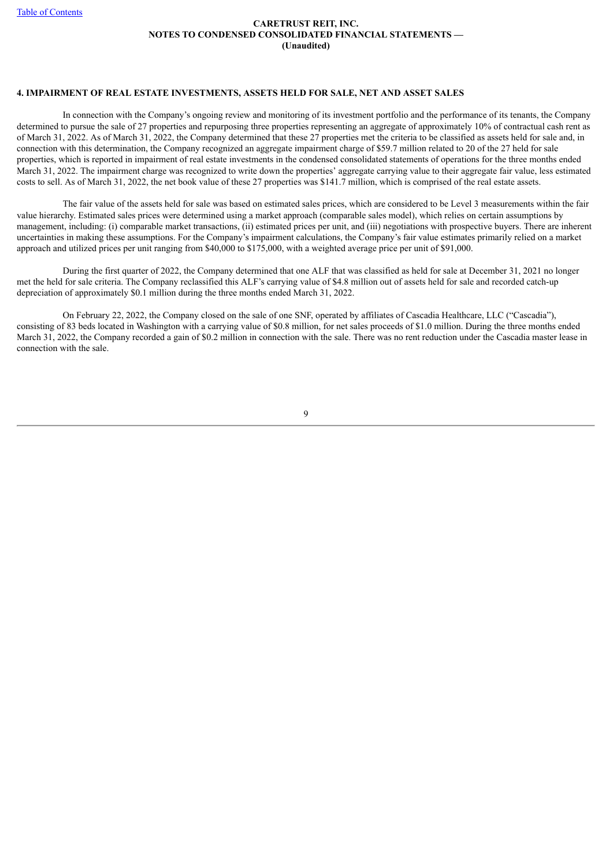#### **4. IMPAIRMENT OF REAL ESTATE INVESTMENTS, ASSETS HELD FOR SALE, NET AND ASSET SALES**

In connection with the Company's ongoing review and monitoring of its investment portfolio and the performance of its tenants, the Company determined to pursue the sale of 27 properties and repurposing three properties representing an aggregate of approximately 10% of contractual cash rent as of March 31, 2022. As of March 31, 2022, the Company determined that these 27 properties met the criteria to be classified as assets held for sale and, in connection with this determination, the Company recognized an aggregate impairment charge of \$59.7 million related to 20 of the 27 held for sale properties, which is reported in impairment of real estate investments in the condensed consolidated statements of operations for the three months ended March 31, 2022. The impairment charge was recognized to write down the properties' aggregate carrying value to their aggregate fair value, less estimated costs to sell. As of March 31, 2022, the net book value of these 27 properties was \$141.7 million, which is comprised of the real estate assets.

The fair value of the assets held for sale was based on estimated sales prices, which are considered to be Level 3 measurements within the fair value hierarchy. Estimated sales prices were determined using a market approach (comparable sales model), which relies on certain assumptions by management, including: (i) comparable market transactions, (ii) estimated prices per unit, and (iii) negotiations with prospective buyers. There are inherent uncertainties in making these assumptions. For the Company's impairment calculations, the Company's fair value estimates primarily relied on a market approach and utilized prices per unit ranging from \$40,000 to \$175,000, with a weighted average price per unit of \$91,000.

During the first quarter of 2022, the Company determined that one ALF that was classified as held for sale at December 31, 2021 no longer met the held for sale criteria. The Company reclassified this ALF's carrying value of \$4.8 million out of assets held for sale and recorded catch-up depreciation of approximately \$0.1 million during the three months ended March 31, 2022.

On February 22, 2022, the Company closed on the sale of one SNF, operated by affiliates of Cascadia Healthcare, LLC ("Cascadia"), consisting of 83 beds located in Washington with a carrying value of \$0.8 million, for net sales proceeds of \$1.0 million. During the three months ended March 31, 2022, the Company recorded a gain of \$0.2 million in connection with the sale. There was no rent reduction under the Cascadia master lease in connection with the sale.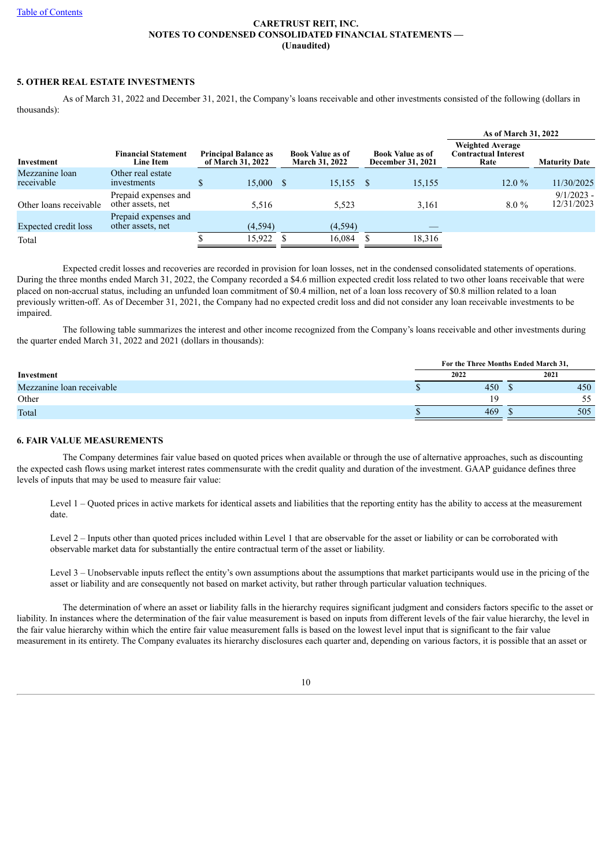## **5. OTHER REAL ESTATE INVESTMENTS**

As of March 31, 2022 and December 31, 2021, the Company's loans receivable and other investments consisted of the following (dollars in thousands):

|                              |                                           |                                                  |         |     |                                                  |                                                     | As of March 31, 2022                                           |                            |  |
|------------------------------|-------------------------------------------|--------------------------------------------------|---------|-----|--------------------------------------------------|-----------------------------------------------------|----------------------------------------------------------------|----------------------------|--|
| Investment                   | <b>Financial Statement</b><br>Line Item   | <b>Principal Balance as</b><br>of March 31, 2022 |         |     | <b>Book Value as of</b><br><b>March 31, 2022</b> | <b>Book Value as of</b><br><b>December 31, 2021</b> | <b>Weighted Average</b><br><b>Contractual Interest</b><br>Rate | <b>Maturity Date</b>       |  |
| Mezzanine loan<br>receivable | Other real estate<br>myestments           |                                                  | 15,000  | - S | 15,155                                           | 15,155                                              | $12.0 \%$                                                      | 11/30/2025                 |  |
| Other loans receivable       | Prepaid expenses and<br>other assets, net |                                                  | 5.516   |     | 5,523                                            | 3,161                                               | $8.0\%$                                                        | $9/1/2023 -$<br>12/31/2023 |  |
| Expected credit loss         | Prepaid expenses and<br>other assets, net |                                                  | (4,594) |     | (4, 594)                                         |                                                     |                                                                |                            |  |
| Total                        |                                           |                                                  | 15,922  |     | 16,084                                           | 18,316                                              |                                                                |                            |  |

Expected credit losses and recoveries are recorded in provision for loan losses, net in the condensed consolidated statements of operations. During the three months ended March 31, 2022, the Company recorded a \$4.6 million expected credit loss related to two other loans receivable that were placed on non-accrual status, including an unfunded loan commitment of \$0.4 million, net of a loan loss recovery of \$0.8 million related to a loan previously written-off. As of December 31, 2021, the Company had no expected credit loss and did not consider any loan receivable investments to be impaired.

The following table summarizes the interest and other income recognized from the Company's loans receivable and other investments during the quarter ended March 31, 2022 and 2021 (dollars in thousands):

|                           | For the Three Months Ended March 31, |     |  |      |  |  |  |
|---------------------------|--------------------------------------|-----|--|------|--|--|--|
| Investment                | 2022                                 |     |  | 2021 |  |  |  |
| Mezzanine loan receivable |                                      | 450 |  | 450  |  |  |  |
| Other                     |                                      | ιu  |  | - -  |  |  |  |
| Total                     |                                      | 469 |  | 505  |  |  |  |

#### **6. FAIR VALUE MEASUREMENTS**

The Company determines fair value based on quoted prices when available or through the use of alternative approaches, such as discounting the expected cash flows using market interest rates commensurate with the credit quality and duration of the investment. GAAP guidance defines three levels of inputs that may be used to measure fair value:

Level 1 – Quoted prices in active markets for identical assets and liabilities that the reporting entity has the ability to access at the measurement date.

Level 2 – Inputs other than quoted prices included within Level 1 that are observable for the asset or liability or can be corroborated with observable market data for substantially the entire contractual term of the asset or liability.

Level 3 – Unobservable inputs reflect the entity's own assumptions about the assumptions that market participants would use in the pricing of the asset or liability and are consequently not based on market activity, but rather through particular valuation techniques.

The determination of where an asset or liability falls in the hierarchy requires significant judgment and considers factors specific to the asset or liability. In instances where the determination of the fair value measurement is based on inputs from different levels of the fair value hierarchy, the level in the fair value hierarchy within which the entire fair value measurement falls is based on the lowest level input that is significant to the fair value measurement in its entirety. The Company evaluates its hierarchy disclosures each quarter and, depending on various factors, it is possible that an asset or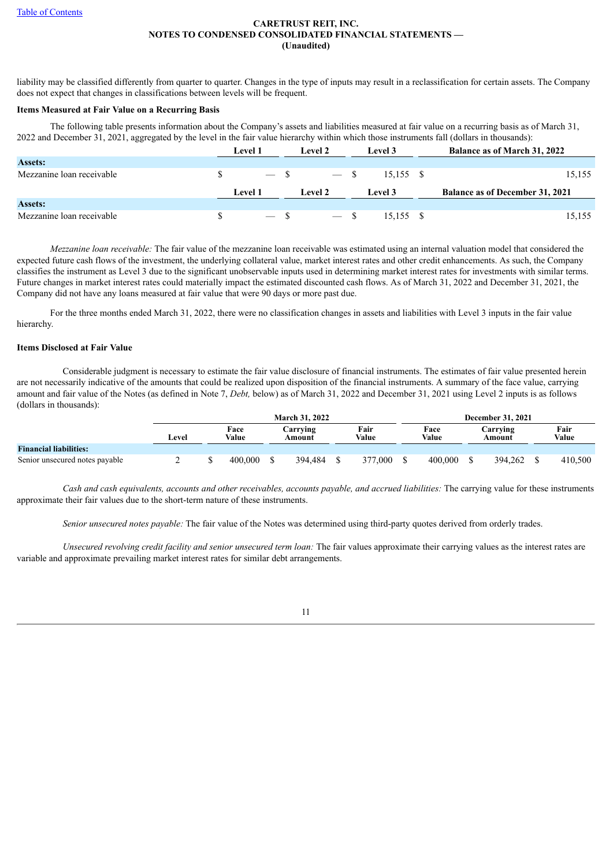liability may be classified differently from quarter to quarter. Changes in the type of inputs may result in a reclassification for certain assets. The Company does not expect that changes in classifications between levels will be frequent.

#### **Items Measured at Fair Value on a Recurring Basis**

The following table presents information about the Company's assets and liabilities measured at fair value on a recurring basis as of March 31, 2022 and December 31, 2021, aggregated by the level in the fair value hierarchy within which those instruments fall (dollars in thousands):

|                           | <b>Level 1</b> | Level 2          | <b>Level</b> 3 | <b>Balance as of March 31, 2022</b>    |
|---------------------------|----------------|------------------|----------------|----------------------------------------|
| <b>Assets:</b>            |                |                  |                |                                        |
| Mezzanine loan receivable | $-$ S          | $-$ \$ 15,155 \$ |                | 15,155                                 |
|                           |                |                  |                |                                        |
|                           | <b>Level 1</b> | Level 2          | Level 3        | <b>Balance as of December 31, 2021</b> |
| <b>Assets:</b>            |                |                  |                |                                        |

*Mezzanine loan receivable:* The fair value of the mezzanine loan receivable was estimated using an internal valuation model that considered the expected future cash flows of the investment, the underlying collateral value, market interest rates and other credit enhancements. As such, the Company classifies the instrument as Level 3 due to the significant unobservable inputs used in determining market interest rates for investments with similar terms. Future changes in market interest rates could materially impact the estimated discounted cash flows. As of March 31, 2022 and December 31, 2021, the Company did not have any loans measured at fair value that were 90 days or more past due.

For the three months ended March 31, 2022, there were no classification changes in assets and liabilities with Level 3 inputs in the fair value hierarchy.

#### **Items Disclosed at Fair Value**

Considerable judgment is necessary to estimate the fair value disclosure of financial instruments. The estimates of fair value presented herein are not necessarily indicative of the amounts that could be realized upon disposition of the financial instruments. A summary of the face value, carrying amount and fair value of the Notes (as defined in Note 7, *Debt,* below) as of March 31, 2022 and December 31, 2021 using Level 2 inputs is as follows (dollars in thousands):

|                                | <b>March 31, 2022</b> |  |               |  |                    |  | <b>December 31, 2021</b> |               |  |                    |  |                      |
|--------------------------------|-----------------------|--|---------------|--|--------------------|--|--------------------------|---------------|--|--------------------|--|----------------------|
|                                | Level                 |  | Face<br>Value |  | Carrving<br>Amount |  | Fair<br><b>Value</b>     | Face<br>Value |  | Carrving<br>Amount |  | Fair<br><b>Value</b> |
| <b>Financial liabilities:</b>  |                       |  |               |  |                    |  |                          |               |  |                    |  |                      |
| Senior unsecured notes payable |                       |  | 400,000       |  | 394.484            |  | 377,000                  | 400,000       |  | 394.262            |  | 410,500              |

Cash and cash equivalents, accounts and other receivables, accounts payable, and accrued liabilities: The carrying value for these instruments approximate their fair values due to the short-term nature of these instruments.

*Senior unsecured notes payable:* The fair value of the Notes was determined using third-party quotes derived from orderly trades.

*Unsecured revolving credit facility and senior unsecured term loan:* The fair values approximate their carrying values as the interest rates are variable and approximate prevailing market interest rates for similar debt arrangements.

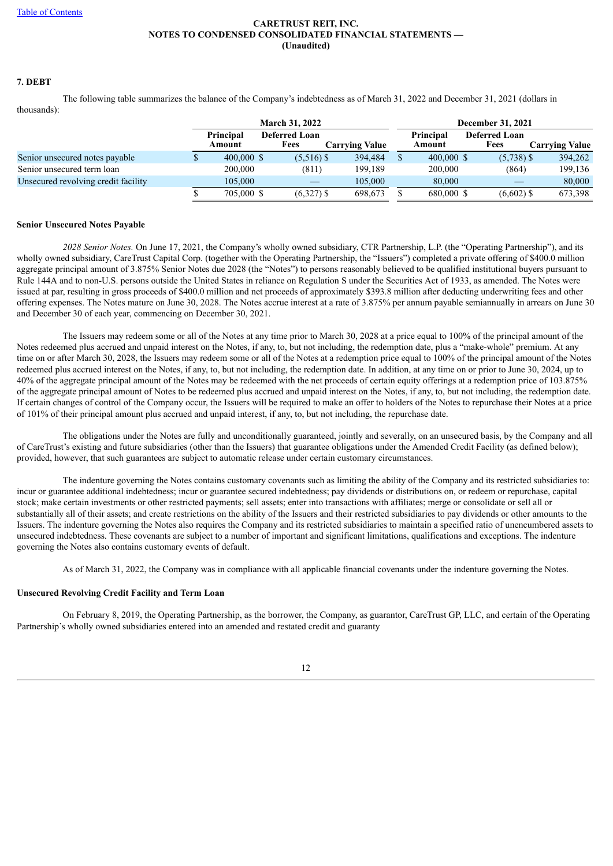### **7. DEBT**

The following table summarizes the balance of the Company's indebtedness as of March 31, 2022 and December 31, 2021 (dollars in thousands):

|                                     | <b>March 31, 2022</b> |  |                              |  |                |                       | December 31, 2021            |                |
|-------------------------------------|-----------------------|--|------------------------------|--|----------------|-----------------------|------------------------------|----------------|
|                                     | Principal<br>Amount   |  | <b>Deferred Loan</b><br>Fees |  | Carrving Value | Principal<br>Amount   | <b>Deferred Loan</b><br>Fees | Carrving Value |
| Senior unsecured notes payable      | $400,000 \text{ }$ \$ |  | $(5,516)$ \$                 |  | 394.484        | $400,000 \text{ }$ \$ | $(5,738)$ \$                 | 394,262        |
| Senior unsecured term loan          | 200,000               |  | (811)                        |  | 199.189        | 200,000               | (864)                        | 199,136        |
| Unsecured revolving credit facility | 105,000               |  |                              |  | 105,000        | 80,000                |                              | 80,000         |
|                                     | 705,000 \$            |  | $(6,327)$ \$                 |  | 698.673        | 680,000 \$            | $(6,602)$ \$                 | 673,398        |

#### **Senior Unsecured Notes Payable**

*2028 Senior Notes.* On June 17, 2021, the Company's wholly owned subsidiary, CTR Partnership, L.P. (the "Operating Partnership"), and its wholly owned subsidiary, CareTrust Capital Corp. (together with the Operating Partnership, the "Issuers") completed a private offering of \$400.0 million aggregate principal amount of 3.875% Senior Notes due 2028 (the "Notes") to persons reasonably believed to be qualified institutional buyers pursuant to Rule 144A and to non-U.S. persons outside the United States in reliance on Regulation S under the Securities Act of 1933, as amended. The Notes were issued at par, resulting in gross proceeds of \$400.0 million and net proceeds of approximately \$393.8 million after deducting underwriting fees and other offering expenses. The Notes mature on June 30, 2028. The Notes accrue interest at a rate of 3.875% per annum payable semiannually in arrears on June 30 and December 30 of each year, commencing on December 30, 2021.

The Issuers may redeem some or all of the Notes at any time prior to March 30, 2028 at a price equal to 100% of the principal amount of the Notes redeemed plus accrued and unpaid interest on the Notes, if any, to, but not including, the redemption date, plus a "make-whole" premium. At any time on or after March 30, 2028, the Issuers may redeem some or all of the Notes at a redemption price equal to 100% of the principal amount of the Notes redeemed plus accrued interest on the Notes, if any, to, but not including, the redemption date. In addition, at any time on or prior to June 30, 2024, up to 40% of the aggregate principal amount of the Notes may be redeemed with the net proceeds of certain equity offerings at a redemption price of 103.875% of the aggregate principal amount of Notes to be redeemed plus accrued and unpaid interest on the Notes, if any, to, but not including, the redemption date. If certain changes of control of the Company occur, the Issuers will be required to make an offer to holders of the Notes to repurchase their Notes at a price of 101% of their principal amount plus accrued and unpaid interest, if any, to, but not including, the repurchase date.

The obligations under the Notes are fully and unconditionally guaranteed, jointly and severally, on an unsecured basis, by the Company and all of CareTrust's existing and future subsidiaries (other than the Issuers) that guarantee obligations under the Amended Credit Facility (as defined below); provided, however, that such guarantees are subject to automatic release under certain customary circumstances.

The indenture governing the Notes contains customary covenants such as limiting the ability of the Company and its restricted subsidiaries to: incur or guarantee additional indebtedness; incur or guarantee secured indebtedness; pay dividends or distributions on, or redeem or repurchase, capital stock; make certain investments or other restricted payments; sell assets; enter into transactions with affiliates; merge or consolidate or sell all or substantially all of their assets; and create restrictions on the ability of the Issuers and their restricted subsidiaries to pay dividends or other amounts to the Issuers. The indenture governing the Notes also requires the Company and its restricted subsidiaries to maintain a specified ratio of unencumbered assets to unsecured indebtedness. These covenants are subject to a number of important and significant limitations, qualifications and exceptions. The indenture governing the Notes also contains customary events of default.

As of March 31, 2022, the Company was in compliance with all applicable financial covenants under the indenture governing the Notes.

#### **Unsecured Revolving Credit Facility and Term Loan**

On February 8, 2019, the Operating Partnership, as the borrower, the Company, as guarantor, CareTrust GP, LLC, and certain of the Operating Partnership's wholly owned subsidiaries entered into an amended and restated credit and guaranty

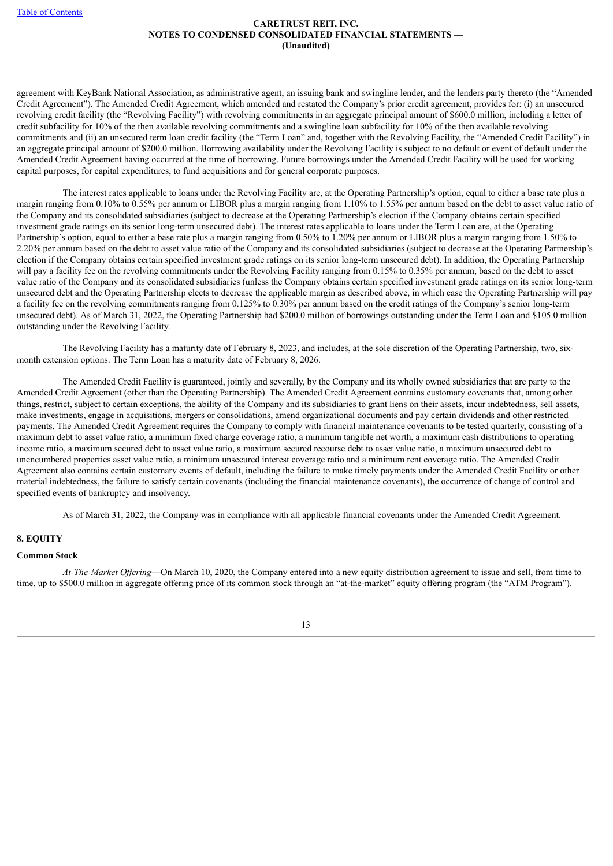agreement with KeyBank National Association, as administrative agent, an issuing bank and swingline lender, and the lenders party thereto (the "Amended Credit Agreement"). The Amended Credit Agreement, which amended and restated the Company's prior credit agreement, provides for: (i) an unsecured revolving credit facility (the "Revolving Facility") with revolving commitments in an aggregate principal amount of \$600.0 million, including a letter of credit subfacility for 10% of the then available revolving commitments and a swingline loan subfacility for 10% of the then available revolving commitments and (ii) an unsecured term loan credit facility (the "Term Loan" and, together with the Revolving Facility, the "Amended Credit Facility") in an aggregate principal amount of \$200.0 million. Borrowing availability under the Revolving Facility is subject to no default or event of default under the Amended Credit Agreement having occurred at the time of borrowing. Future borrowings under the Amended Credit Facility will be used for working capital purposes, for capital expenditures, to fund acquisitions and for general corporate purposes.

The interest rates applicable to loans under the Revolving Facility are, at the Operating Partnership's option, equal to either a base rate plus a margin ranging from 0.10% to 0.55% per annum or LIBOR plus a margin ranging from 1.10% to 1.55% per annum based on the debt to asset value ratio of the Company and its consolidated subsidiaries (subject to decrease at the Operating Partnership's election if the Company obtains certain specified investment grade ratings on its senior long-term unsecured debt). The interest rates applicable to loans under the Term Loan are, at the Operating Partnership's option, equal to either a base rate plus a margin ranging from 0.50% to 1.20% per annum or LIBOR plus a margin ranging from 1.50% to 2.20% per annum based on the debt to asset value ratio of the Company and its consolidated subsidiaries (subject to decrease at the Operating Partnership's election if the Company obtains certain specified investment grade ratings on its senior long-term unsecured debt). In addition, the Operating Partnership will pay a facility fee on the revolving commitments under the Revolving Facility ranging from 0.15% to 0.35% per annum, based on the debt to asset value ratio of the Company and its consolidated subsidiaries (unless the Company obtains certain specified investment grade ratings on its senior long-term unsecured debt and the Operating Partnership elects to decrease the applicable margin as described above, in which case the Operating Partnership will pay a facility fee on the revolving commitments ranging from 0.125% to 0.30% per annum based on the credit ratings of the Company's senior long-term unsecured debt). As of March 31, 2022, the Operating Partnership had \$200.0 million of borrowings outstanding under the Term Loan and \$105.0 million outstanding under the Revolving Facility.

The Revolving Facility has a maturity date of February 8, 2023, and includes, at the sole discretion of the Operating Partnership, two, sixmonth extension options. The Term Loan has a maturity date of February 8, 2026.

The Amended Credit Facility is guaranteed, jointly and severally, by the Company and its wholly owned subsidiaries that are party to the Amended Credit Agreement (other than the Operating Partnership). The Amended Credit Agreement contains customary covenants that, among other things, restrict, subject to certain exceptions, the ability of the Company and its subsidiaries to grant liens on their assets, incur indebtedness, sell assets, make investments, engage in acquisitions, mergers or consolidations, amend organizational documents and pay certain dividends and other restricted payments. The Amended Credit Agreement requires the Company to comply with financial maintenance covenants to be tested quarterly, consisting of a maximum debt to asset value ratio, a minimum fixed charge coverage ratio, a minimum tangible net worth, a maximum cash distributions to operating income ratio, a maximum secured debt to asset value ratio, a maximum secured recourse debt to asset value ratio, a maximum unsecured debt to unencumbered properties asset value ratio, a minimum unsecured interest coverage ratio and a minimum rent coverage ratio. The Amended Credit Agreement also contains certain customary events of default, including the failure to make timely payments under the Amended Credit Facility or other material indebtedness, the failure to satisfy certain covenants (including the financial maintenance covenants), the occurrence of change of control and specified events of bankruptcy and insolvency.

As of March 31, 2022, the Company was in compliance with all applicable financial covenants under the Amended Credit Agreement.

#### **8. EQUITY**

#### **Common Stock**

*At-The-Market Of ering*—On March 10, 2020, the Company entered into a new equity distribution agreement to issue and sell, from time to time, up to \$500.0 million in aggregate offering price of its common stock through an "at-the-market" equity offering program (the "ATM Program").

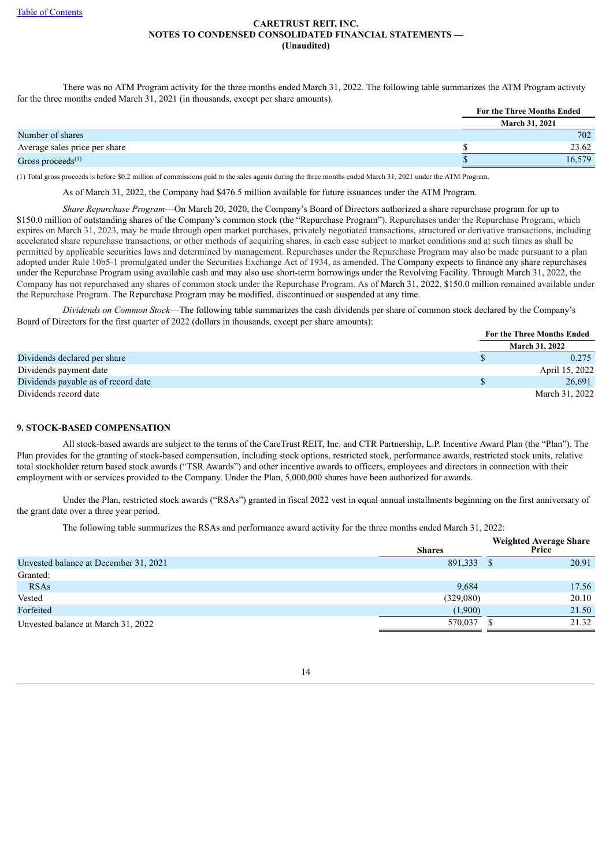#### Table of [Contents](#page-1-0)

#### **CARETRUST REIT, INC. NOTES TO CONDENSED CONSOLIDATED FINANCIAL STATEMENTS — (Unaudited)**

There was no ATM Program activity for the three months ended March 31, 2022. The following table summarizes the ATM Program activity for the three months ended March 31, 2021 (in thousands, except per share amounts).

|                               | <b>For the Three Months Ended</b> |
|-------------------------------|-----------------------------------|
|                               | <b>March 31, 2021</b>             |
| Number of shares              | 702                               |
| Average sales price per share | 23.62                             |
| Gross proceeds $(1)$          | 16.579                            |

(1) Total gross proceeds is before \$0.2 million of commissions paid to the sales agents during the three months ended March 31, 2021 under the ATM Program.

As of March 31, 2022, the Company had \$476.5 million available for future issuances under the ATM Program.

*Share Repurchase Program*—On March 20, 2020, the Company's Board of Directors authorized a share repurchase program for up to \$150.0 million of outstanding shares of the Company's common stock (the "Repurchase Program"). Repurchases under the Repurchase Program, which expires on March 31, 2023, may be made through open market purchases, privately negotiated transactions, structured or derivative transactions, including accelerated share repurchase transactions, or other methods of acquiring shares, in each case subject to market conditions and at such times as shall be permitted by applicable securities laws and determined by management. Repurchases under the Repurchase Program may also be made pursuant to a plan adopted under Rule 10b5-1 promulgated under the Securities Exchange Act of 1934, as amended. The Company expects to finance any share repurchases under the Repurchase Program using available cash and may also use short-term borrowings under the Revolving Facility. Through March 31, 2022, the Company has not repurchased any shares of common stock under the Repurchase Program. As of March 31, 2022, \$150.0 million remained available under the Repurchase Program. The Repurchase Program may be modified, discontinued or suspended at any time.

*Dividends on Common Stock*—The following table summarizes the cash dividends per share of common stock declared by the Company's Board of Directors for the first quarter of 2022 (dollars in thousands, except per share amounts):

|                                     | <b>For the Three Months Ended</b> |
|-------------------------------------|-----------------------------------|
|                                     | <b>March 31, 2022</b>             |
| Dividends declared per share        | 0.275                             |
| Dividends payment date              | April 15, 2022                    |
| Dividends payable as of record date | 26.691                            |
| Dividends record date               | March 31, 2022                    |

### **9. STOCK-BASED COMPENSATION**

All stock-based awards are subject to the terms of the CareTrust REIT, Inc. and CTR Partnership, L.P. Incentive Award Plan (the "Plan"). The Plan provides for the granting of stock-based compensation, including stock options, restricted stock, performance awards, restricted stock units, relative total stockholder return based stock awards ("TSR Awards") and other incentive awards to officers, employees and directors in connection with their employment with or services provided to the Company. Under the Plan, 5,000,000 shares have been authorized for awards.

Under the Plan, restricted stock awards ("RSAs") granted in fiscal 2022 vest in equal annual installments beginning on the first anniversary of the grant date over a three year period.

The following table summarizes the RSAs and performance award activity for the three months ended March 31, 2022:

|                                       | <b>Shares</b> | <b>Weighted Average Share</b><br>Price |
|---------------------------------------|---------------|----------------------------------------|
| Unvested balance at December 31, 2021 | 891,333       | 20.91                                  |
| Granted:                              |               |                                        |
| <b>RSAs</b>                           | 9,684         | 17.56                                  |
| Vested                                | (329,080)     | 20.10                                  |
| Forfeited                             | (1,900)       | 21.50                                  |
| Unvested balance at March 31, 2022    | 570,037       | 21.32                                  |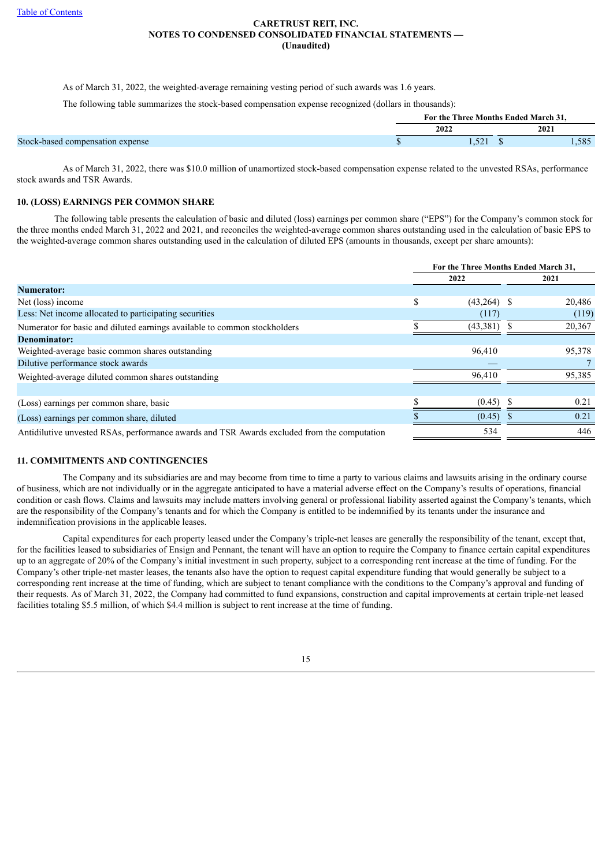As of March 31, 2022, the weighted-average remaining vesting period of such awards was 1.6 years.

The following table summarizes the stock-based compensation expense recognized (dollars in thousands):

|                                  | For the Three Months Ended March 31. |      |
|----------------------------------|--------------------------------------|------|
|                                  | 2022                                 | 2021 |
| Stock-based compensation expense | 501                                  | .585 |

As of March 31, 2022, there was \$10.0 million of unamortized stock-based compensation expense related to the unvested RSAs, performance stock awards and TSR Awards.

#### **10. (LOSS) EARNINGS PER COMMON SHARE**

The following table presents the calculation of basic and diluted (loss) earnings per common share ("EPS") for the Company's common stock for the three months ended March 31, 2022 and 2021, and reconciles the weighted-average common shares outstanding used in the calculation of basic EPS to the weighted-average common shares outstanding used in the calculation of diluted EPS (amounts in thousands, except per share amounts):

|                                                                                             | For the Three Months Ended March 31, |               |  |        |
|---------------------------------------------------------------------------------------------|--------------------------------------|---------------|--|--------|
|                                                                                             |                                      | 2022          |  | 2021   |
| Numerator:                                                                                  |                                      |               |  |        |
| Net (loss) income                                                                           | S                                    | $(43,264)$ \$ |  | 20,486 |
| Less: Net income allocated to participating securities                                      |                                      | (117)         |  | (119)  |
| Numerator for basic and diluted earnings available to common stockholders                   |                                      | (43,381)      |  | 20,367 |
| Denominator:                                                                                |                                      |               |  |        |
| Weighted-average basic common shares outstanding                                            |                                      | 96,410        |  | 95,378 |
| Dilutive performance stock awards                                                           |                                      |               |  |        |
| Weighted-average diluted common shares outstanding                                          |                                      | 96.410        |  | 95,385 |
|                                                                                             |                                      |               |  |        |
| (Loss) earnings per common share, basic                                                     |                                      | $(0.45)$ \$   |  | 0.21   |
| (Loss) earnings per common share, diluted                                                   |                                      | (0.45)        |  | 0.21   |
| Antidilutive unvested RSAs, performance awards and TSR Awards excluded from the computation |                                      | 534           |  | 446    |
|                                                                                             |                                      |               |  |        |

#### **11. COMMITMENTS AND CONTINGENCIES**

The Company and its subsidiaries are and may become from time to time a party to various claims and lawsuits arising in the ordinary course of business, which are not individually or in the aggregate anticipated to have a material adverse effect on the Company's results of operations, financial condition or cash flows. Claims and lawsuits may include matters involving general or professional liability asserted against the Company's tenants, which are the responsibility of the Company's tenants and for which the Company is entitled to be indemnified by its tenants under the insurance and indemnification provisions in the applicable leases.

Capital expenditures for each property leased under the Company's triple-net leases are generally the responsibility of the tenant, except that, for the facilities leased to subsidiaries of Ensign and Pennant, the tenant will have an option to require the Company to finance certain capital expenditures up to an aggregate of 20% of the Company's initial investment in such property, subject to a corresponding rent increase at the time of funding. For the Company's other triple-net master leases, the tenants also have the option to request capital expenditure funding that would generally be subject to a corresponding rent increase at the time of funding, which are subject to tenant compliance with the conditions to the Company's approval and funding of their requests. As of March 31, 2022, the Company had committed to fund expansions, construction and capital improvements at certain triple-net leased facilities totaling \$5.5 million, of which \$4.4 million is subject to rent increase at the time of funding.

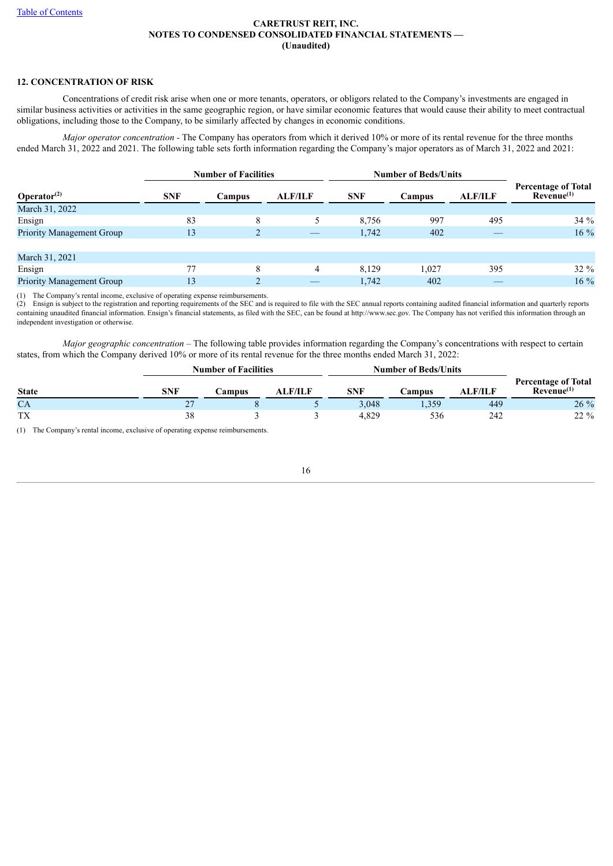## **12. CONCENTRATION OF RISK**

Concentrations of credit risk arise when one or more tenants, operators, or obligors related to the Company's investments are engaged in similar business activities or activities in the same geographic region, or have similar economic features that would cause their ability to meet contractual obligations, including those to the Company, to be similarly affected by changes in economic conditions.

*Major operator concentration -* The Company has operators from which it derived 10% or more of its rental revenue for the three months ended March 31, 2022 and 2021. The following table sets forth information regarding the Company's major operators as of March 31, 2022 and 2021:

|                                  |            | <b>Number of Facilities</b> |                |            | <b>Number of Beds/Units</b> |                |                                                      |
|----------------------------------|------------|-----------------------------|----------------|------------|-----------------------------|----------------|------------------------------------------------------|
| Operator $(2)$                   | <b>SNF</b> | <b>Campus</b>               | <b>ALF/ILF</b> | <b>SNF</b> | Campus                      | <b>ALF/ILF</b> | <b>Percentage of Total</b><br>Revenue <sup>(1)</sup> |
| March 31, 2022                   |            |                             |                |            |                             |                |                                                      |
| Ensign                           | 83         | 8                           |                | 8.756      | 997                         | 495            | 34%                                                  |
| <b>Priority Management Group</b> | 13         |                             |                | 1,742      | 402                         |                | 16 %                                                 |
|                                  |            |                             |                |            |                             |                |                                                      |
| March 31, 2021                   |            |                             |                |            |                             |                |                                                      |
| Ensign                           | 77         | 8                           | 4              | 8.129      | 1.027                       | 395            | $32 \%$                                              |
| Priority Management Group        | 13         |                             | $-\,$          | 1,742      | 402                         |                | 16 %                                                 |
|                                  |            |                             |                |            |                             |                |                                                      |

(1) The Company's rental income, exclusive of operating expense reimbursements.

(2) Ensign is subject to the registration and reporting requirements of the SEC and is required to file with the SEC annual reports containing audited financial information and quarterly reports containing unaudited financial information. Ensign's financial statements, as filed with the SEC, can be found at http://www.sec.gov. The Company has not verified this information through an independent investigation or otherwise.

*Major geographic concentration* – The following table provides information regarding the Company's concentrations with respect to certain states, from which the Company derived 10% or more of its rental revenue for the three months ended March 31, 2022:

|              |                    | <b>Number of Facilities</b> |                |            | <b>Number of Beds/Units</b> |                |                                                      |  |
|--------------|--------------------|-----------------------------|----------------|------------|-----------------------------|----------------|------------------------------------------------------|--|
| <b>State</b> | SNF                | <b>Campus</b>               | <b>ALF/ILF</b> | <b>SNF</b> | <b>Campus</b>               | <b>ALF/ILF</b> | <b>Percentage of Total</b><br>Revenue <sup>(1)</sup> |  |
| CA           | າາ<br><u>، ، ،</u> |                             |                | 3,048      | .359                        | 449            | 26 %                                                 |  |
| <b>TX</b>    | 38                 |                             |                | 4.829      | 536                         | 242            | $22 \%$                                              |  |
|              |                    |                             |                |            |                             |                |                                                      |  |

<span id="page-18-0"></span>(1) The Company's rental income, exclusive of operating expense reimbursements.

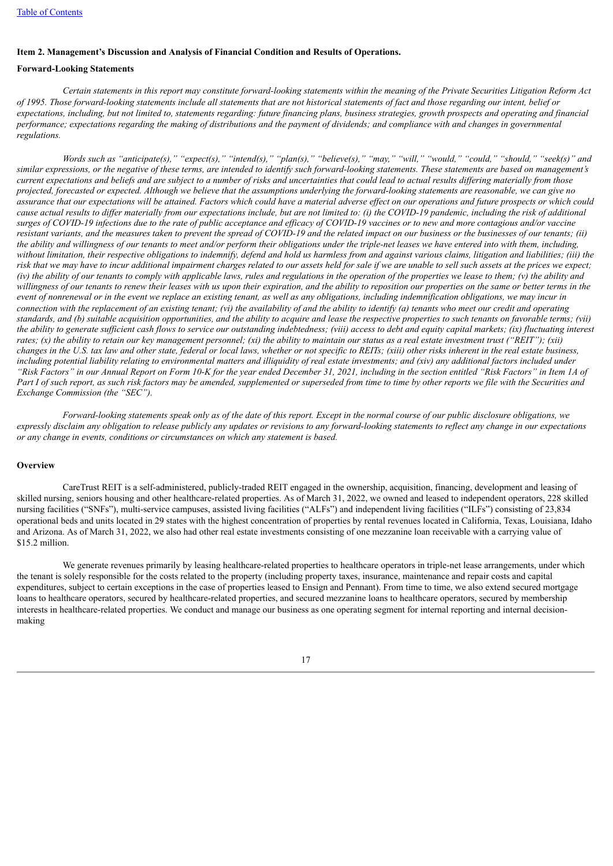### **Item 2. Management's Discussion and Analysis of Financial Condition and Results of Operations.**

#### **Forward-Looking Statements**

Certain statements in this report may constitute forward-looking statements within the meaning of the Private Securities Litigation Reform Act of 1995. Those forward-looking statements include all statements that are not historical statements of fact and those regarding our intent, belief or expectations, including, but not limited to, statements regarding: future financing plans, business strategies, growth prospects and operating and financial performance; expectations regarding the making of distributions and the payment of dividends; and compliance with and changes in governmental *regulations.*

Words such as "anticipate(s)," "expect(s)," "intend(s)," "plan(s)," "believe(s)," "may," "will," "would," "could," "should," "seek(s)" and similar expressions, or the negative of these terms, are intended to identify such forward-looking statements. These statements are based on management's current expectations and beliefs and are subject to a number of risks and uncertainties that could lead to actual results differing materially from those projected, forecasted or expected. Although we believe that the assumptions underlying the forward-looking statements are reasonable, we can give no assurance that our expectations will be attained. Factors which could have a material adverse effect on our operations and future prospects or which could cause actual results to differ materially from our expectations include, but are not limited to: (i) the COVID-19 pandemic, including the risk of additional surges of COVID-19 infections due to the rate of public acceptance and efficacy of COVID-19 vaccines or to new and more contagious and/or vaccine resistant variants, and the measures taken to prevent the spread of COVID-19 and the related impact on our business or the businesses of our tenants; (ii) the ability and willingness of our tenants to meet and/or perform their obligations under the triple-net leases we have entered into with them, including, without limitation, their respective obligations to indemnify, defend and hold us harmless from and against various claims, litigation and liabilities; (iii) the risk that we may have to incur additional impairment charges related to our assets held for sale if we are unable to sell such assets at the prices we expect; (iv) the ability of our tenants to comply with applicable laws, rules and regulations in the operation of the properties we lease to them;  $(v)$  the ability and willingness of our tenants to renew their leases with us upon their expiration, and the ability to reposition our properties on the same or better terms in the event of nonrenewal or in the event we replace an existing tenant, as well as any obligations, including indemnification obligations, we may incur in connection with the replacement of an existing tenant; (vi) the availability of and the ability to identify (a) tenants who meet our credit and operating standards, and (b) suitable acquisition opportunities, and the ability to acquire and lease the respective properties to such tenants on favorable terms; (vii) the ability to generate sufficient cash flows to service our outstanding indebtedness; (viii) access to debt and equity capital markets; (ix) fluctuating interest rates; (x) the ability to retain our key management personnel; (xi) the ability to maintain our status as a real estate investment trust ("REIT"); (xii) changes in the U.S. tax law and other state, federal or local laws, whether or not specific to REITs; (xiii) other risks inherent in the real estate business, including potential liability relating to environmental matters and illiquidity of real estate investments; and (xiv) any additional factors included under "Risk Factors" in our Annual Report on Form 10-K for the year ended December 31, 2021, including in the section entitled "Risk Factors" in Item 1A of Part I of such report, as such risk factors may be amended, supplemented or superseded from time to time by other reports we file with the Securities and *Exchange Commission (the "SEC").*

Forward-looking statements speak only as of the date of this report. Except in the normal course of our public disclosure obligations, we expressly disclaim any obligation to release publicly any updates or revisions to any forward-looking statements to reflect any change in our expectations *or any change in events, conditions or circumstances on which any statement is based.*

#### **Overview**

CareTrust REIT is a self-administered, publicly-traded REIT engaged in the ownership, acquisition, financing, development and leasing of skilled nursing, seniors housing and other healthcare-related properties. As of March 31, 2022, we owned and leased to independent operators, 228 skilled nursing facilities ("SNFs"), multi-service campuses, assisted living facilities ("ALFs") and independent living facilities ("ILFs") consisting of 23,834 operational beds and units located in 29 states with the highest concentration of properties by rental revenues located in California, Texas, Louisiana, Idaho and Arizona. As of March 31, 2022, we also had other real estate investments consisting of one mezzanine loan receivable with a carrying value of \$15.2 million.

We generate revenues primarily by leasing healthcare-related properties to healthcare operators in triple-net lease arrangements, under which the tenant is solely responsible for the costs related to the property (including property taxes, insurance, maintenance and repair costs and capital expenditures, subject to certain exceptions in the case of properties leased to Ensign and Pennant). From time to time, we also extend secured mortgage loans to healthcare operators, secured by healthcare-related properties, and secured mezzanine loans to healthcare operators, secured by membership interests in healthcare-related properties. We conduct and manage our business as one operating segment for internal reporting and internal decisionmaking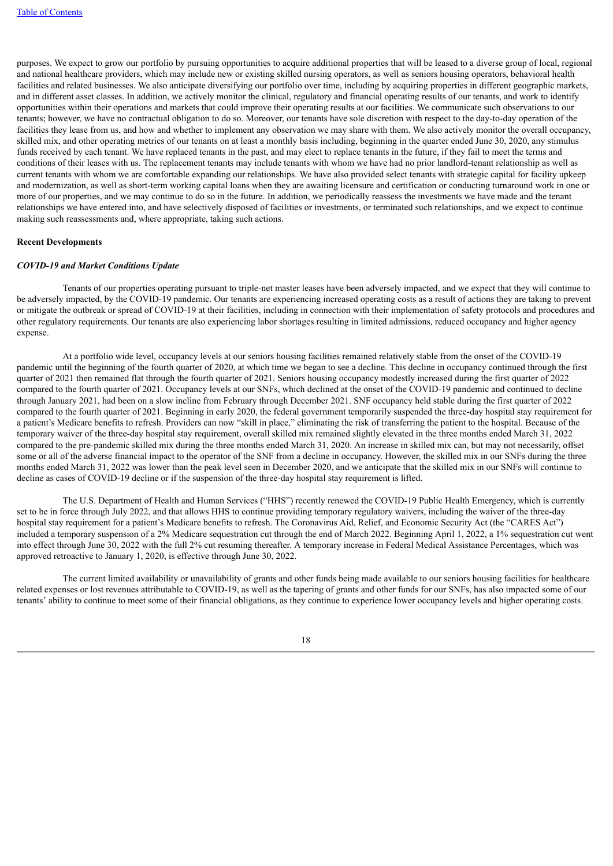purposes. We expect to grow our portfolio by pursuing opportunities to acquire additional properties that will be leased to a diverse group of local, regional and national healthcare providers, which may include new or existing skilled nursing operators, as well as seniors housing operators, behavioral health facilities and related businesses. We also anticipate diversifying our portfolio over time, including by acquiring properties in different geographic markets, and in different asset classes. In addition, we actively monitor the clinical, regulatory and financial operating results of our tenants, and work to identify opportunities within their operations and markets that could improve their operating results at our facilities. We communicate such observations to our tenants; however, we have no contractual obligation to do so. Moreover, our tenants have sole discretion with respect to the day-to-day operation of the facilities they lease from us, and how and whether to implement any observation we may share with them. We also actively monitor the overall occupancy, skilled mix, and other operating metrics of our tenants on at least a monthly basis including, beginning in the quarter ended June 30, 2020, any stimulus funds received by each tenant. We have replaced tenants in the past, and may elect to replace tenants in the future, if they fail to meet the terms and conditions of their leases with us. The replacement tenants may include tenants with whom we have had no prior landlord-tenant relationship as well as current tenants with whom we are comfortable expanding our relationships. We have also provided select tenants with strategic capital for facility upkeep and modernization, as well as short-term working capital loans when they are awaiting licensure and certification or conducting turnaround work in one or more of our properties, and we may continue to do so in the future. In addition, we periodically reassess the investments we have made and the tenant relationships we have entered into, and have selectively disposed of facilities or investments, or terminated such relationships, and we expect to continue making such reassessments and, where appropriate, taking such actions.

#### **Recent Developments**

#### *COVID-19 and Market Conditions Update*

Tenants of our properties operating pursuant to triple-net master leases have been adversely impacted, and we expect that they will continue to be adversely impacted, by the COVID-19 pandemic. Our tenants are experiencing increased operating costs as a result of actions they are taking to prevent or mitigate the outbreak or spread of COVID-19 at their facilities, including in connection with their implementation of safety protocols and procedures and other regulatory requirements. Our tenants are also experiencing labor shortages resulting in limited admissions, reduced occupancy and higher agency expense.

At a portfolio wide level, occupancy levels at our seniors housing facilities remained relatively stable from the onset of the COVID-19 pandemic until the beginning of the fourth quarter of 2020, at which time we began to see a decline. This decline in occupancy continued through the first quarter of 2021 then remained flat through the fourth quarter of 2021. Seniors housing occupancy modestly increased during the first quarter of 2022 compared to the fourth quarter of 2021. Occupancy levels at our SNFs, which declined at the onset of the COVID-19 pandemic and continued to decline through January 2021, had been on a slow incline from February through December 2021. SNF occupancy held stable during the first quarter of 2022 compared to the fourth quarter of 2021. Beginning in early 2020, the federal government temporarily suspended the three-day hospital stay requirement for a patient's Medicare benefits to refresh. Providers can now "skill in place," eliminating the risk of transferring the patient to the hospital. Because of the temporary waiver of the three-day hospital stay requirement, overall skilled mix remained slightly elevated in the three months ended March 31, 2022 compared to the pre-pandemic skilled mix during the three months ended March 31, 2020. An increase in skilled mix can, but may not necessarily, offset some or all of the adverse financial impact to the operator of the SNF from a decline in occupancy. However, the skilled mix in our SNFs during the three months ended March 31, 2022 was lower than the peak level seen in December 2020, and we anticipate that the skilled mix in our SNFs will continue to decline as cases of COVID-19 decline or if the suspension of the three-day hospital stay requirement is lifted.

The U.S. Department of Health and Human Services ("HHS") recently renewed the COVID-19 Public Health Emergency, which is currently set to be in force through July 2022, and that allows HHS to continue providing temporary regulatory waivers, including the waiver of the three-day hospital stay requirement for a patient's Medicare benefits to refresh. The Coronavirus Aid, Relief, and Economic Security Act (the "CARES Act") included a temporary suspension of a 2% Medicare sequestration cut through the end of March 2022. Beginning April 1, 2022, a 1% sequestration cut went into effect through June 30, 2022 with the full 2% cut resuming thereafter. A temporary increase in Federal Medical Assistance Percentages, which was approved retroactive to January 1, 2020, is effective through June 30, 2022.

The current limited availability or unavailability of grants and other funds being made available to our seniors housing facilities for healthcare related expenses or lost revenues attributable to COVID-19, as well as the tapering of grants and other funds for our SNFs, has also impacted some of our tenants' ability to continue to meet some of their financial obligations, as they continue to experience lower occupancy levels and higher operating costs.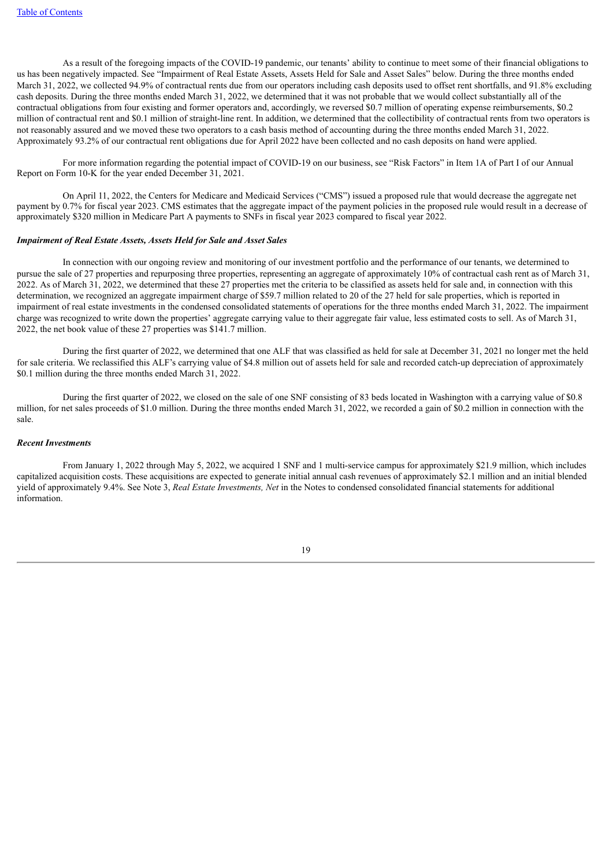As a result of the foregoing impacts of the COVID-19 pandemic, our tenants' ability to continue to meet some of their financial obligations to us has been negatively impacted. See "Impairment of Real Estate Assets, Assets Held for Sale and Asset Sales" below. During the three months ended March 31, 2022, we collected 94.9% of contractual rents due from our operators including cash deposits used to offset rent shortfalls, and 91.8% excluding cash deposits. During the three months ended March 31, 2022, we determined that it was not probable that we would collect substantially all of the contractual obligations from four existing and former operators and, accordingly, we reversed \$0.7 million of operating expense reimbursements, \$0.2 million of contractual rent and \$0.1 million of straight-line rent. In addition, we determined that the collectibility of contractual rents from two operators is not reasonably assured and we moved these two operators to a cash basis method of accounting during the three months ended March 31, 2022. Approximately 93.2% of our contractual rent obligations due for April 2022 have been collected and no cash deposits on hand were applied.

For more information regarding the potential impact of COVID-19 on our business, see "Risk Factors" in Item 1A of Part I of our Annual Report on Form 10-K for the year ended December 31, 2021.

On April 11, 2022, the Centers for Medicare and Medicaid Services ("CMS") issued a proposed rule that would decrease the aggregate net payment by 0.7% for fiscal year 2023. CMS estimates that the aggregate impact of the payment policies in the proposed rule would result in a decrease of approximately \$320 million in Medicare Part A payments to SNFs in fiscal year 2023 compared to fiscal year 2022.

#### *Impairment of Real Estate Assets, Assets Held for Sale and Asset Sales*

In connection with our ongoing review and monitoring of our investment portfolio and the performance of our tenants, we determined to pursue the sale of 27 properties and repurposing three properties, representing an aggregate of approximately 10% of contractual cash rent as of March 31, 2022. As of March 31, 2022, we determined that these 27 properties met the criteria to be classified as assets held for sale and, in connection with this determination, we recognized an aggregate impairment charge of \$59.7 million related to 20 of the 27 held for sale properties, which is reported in impairment of real estate investments in the condensed consolidated statements of operations for the three months ended March 31, 2022. The impairment charge was recognized to write down the properties' aggregate carrying value to their aggregate fair value, less estimated costs to sell. As of March 31, 2022, the net book value of these 27 properties was \$141.7 million.

During the first quarter of 2022, we determined that one ALF that was classified as held for sale at December 31, 2021 no longer met the held for sale criteria. We reclassified this ALF's carrying value of \$4.8 million out of assets held for sale and recorded catch-up depreciation of approximately \$0.1 million during the three months ended March 31, 2022.

During the first quarter of 2022, we closed on the sale of one SNF consisting of 83 beds located in Washington with a carrying value of \$0.8 million, for net sales proceeds of \$1.0 million. During the three months ended March 31, 2022, we recorded a gain of \$0.2 million in connection with the sale.

#### *Recent Investments*

From January 1, 2022 through May 5, 2022, we acquired 1 SNF and 1 multi-service campus for approximately \$21.9 million, which includes capitalized acquisition costs. These acquisitions are expected to generate initial annual cash revenues of approximately \$2.1 million and an initial blended yield of approximately 9.4%. See Note 3, *Real Estate Investments, Net* in the Notes to condensed consolidated financial statements for additional information.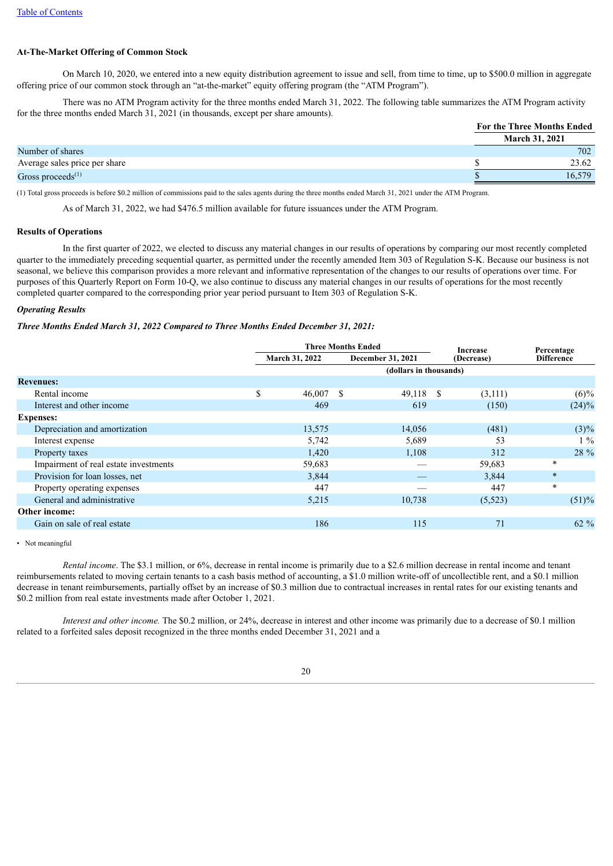#### **At-The-Market Offering of Common Stock**

On March 10, 2020, we entered into a new equity distribution agreement to issue and sell, from time to time, up to \$500.0 million in aggregate offering price of our common stock through an "at-the-market" equity offering program (the "ATM Program").

There was no ATM Program activity for the three months ended March 31, 2022. The following table summarizes the ATM Program activity for the three months ended March 31, 2021 (in thousands, except per share amounts).

|                               | For the Three Months Ended |  |
|-------------------------------|----------------------------|--|
|                               | <b>March 31, 2021</b>      |  |
| Number of shares              | 702                        |  |
| Average sales price per share | 23.62                      |  |
| Gross proceeds $(1)$          | 16.579                     |  |

(1) Total gross proceeds is before \$0.2 million of commissions paid to the sales agents during the three months ended March 31, 2021 under the ATM Program.

As of March 31, 2022, we had \$476.5 million available for future issuances under the ATM Program.

## **Results of Operations**

In the first quarter of 2022, we elected to discuss any material changes in our results of operations by comparing our most recently completed quarter to the immediately preceding sequential quarter, as permitted under the recently amended Item 303 of Regulation S-K. Because our business is not seasonal, we believe this comparison provides a more relevant and informative representation of the changes to our results of operations over time. For purposes of this Quarterly Report on Form 10-Q, we also continue to discuss any material changes in our results of operations for the most recently completed quarter compared to the corresponding prior year period pursuant to Item 303 of Regulation S-K.

## *Operating Results*

#### *Three Months Ended March 31, 2022 Compared to Three Months Ended December 31, 2021:*

|                                       | <b>Three Months Ended</b> |             |                   |        | <b>Increase</b> |          | Percentage        |          |
|---------------------------------------|---------------------------|-------------|-------------------|--------|-----------------|----------|-------------------|----------|
|                                       | <b>March 31, 2022</b>     |             | December 31, 2021 |        | (Decrease)      |          | <b>Difference</b> |          |
|                                       | (dollars in thousands)    |             |                   |        |                 |          |                   |          |
| <b>Revenues:</b>                      |                           |             |                   |        |                 |          |                   |          |
| Rental income                         | \$                        | $46,007$ \$ |                   | 49,118 | -S              | (3,111)  |                   | $(6)\%$  |
| Interest and other income             |                           | 469         |                   | 619    |                 | (150)    |                   | $(24)\%$ |
| <b>Expenses:</b>                      |                           |             |                   |        |                 |          |                   |          |
| Depreciation and amortization         |                           | 13,575      |                   | 14,056 |                 | (481)    |                   | $(3)\%$  |
| Interest expense                      |                           | 5,742       |                   | 5,689  |                 | 53       |                   | $1\%$    |
| Property taxes                        |                           | 1,420       |                   | 1,108  |                 | 312      |                   | 28 %     |
| Impairment of real estate investments |                           | 59,683      |                   |        |                 | 59,683   | $\ast$            |          |
| Provision for loan losses, net        |                           | 3,844       |                   |        |                 | 3,844    | $\ast$            |          |
| Property operating expenses           |                           | 447         |                   |        |                 | 447      | $\ast$            |          |
| General and administrative            |                           | 5,215       |                   | 10,738 |                 | (5, 523) |                   | (51)%    |
| Other income:                         |                           |             |                   |        |                 |          |                   |          |
| Gain on sale of real estate           |                           | 186         |                   | 115    |                 | 71       |                   | $62\%$   |
|                                       |                           |             |                   |        |                 |          |                   |          |

• Not meaningful

*Rental income*. The \$3.1 million, or 6%, decrease in rental income is primarily due to a \$2.6 million decrease in rental income and tenant reimbursements related to moving certain tenants to a cash basis method of accounting, a \$1.0 million write-off of uncollectible rent, and a \$0.1 million decrease in tenant reimbursements, partially offset by an increase of \$0.3 million due to contractual increases in rental rates for our existing tenants and \$0.2 million from real estate investments made after October 1, 2021.

*Interest and other income.* The \$0.2 million, or 24%, decrease in interest and other income was primarily due to a decrease of \$0.1 million related to a forfeited sales deposit recognized in the three months ended December 31, 2021 and a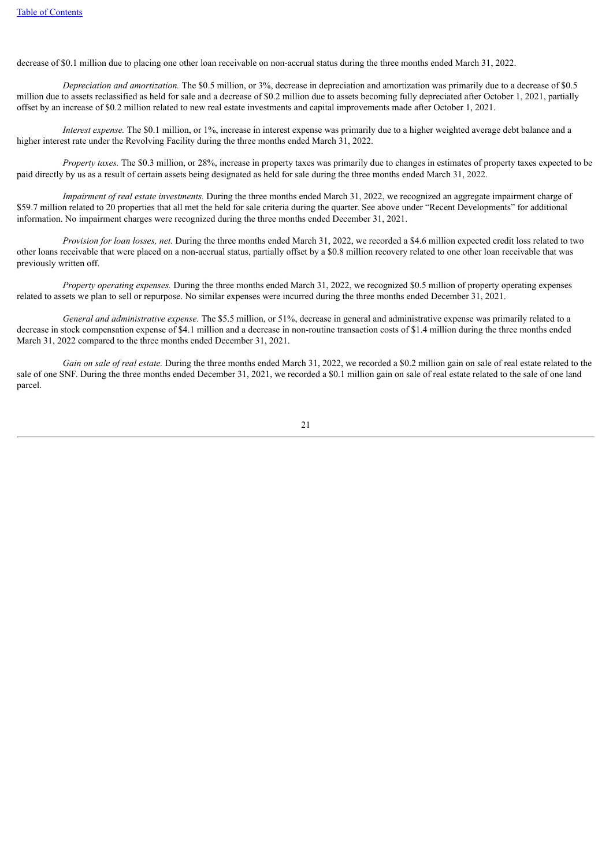decrease of \$0.1 million due to placing one other loan receivable on non-accrual status during the three months ended March 31, 2022.

*Depreciation and amortization.* The \$0.5 million, or 3%, decrease in depreciation and amortization was primarily due to a decrease of \$0.5 million due to assets reclassified as held for sale and a decrease of \$0.2 million due to assets becoming fully depreciated after October 1, 2021, partially offset by an increase of \$0.2 million related to new real estate investments and capital improvements made after October 1, 2021.

*Interest expense.* The \$0.1 million, or 1%, increase in interest expense was primarily due to a higher weighted average debt balance and a higher interest rate under the Revolving Facility during the three months ended March 31, 2022.

*Property taxes.* The \$0.3 million, or 28%, increase in property taxes was primarily due to changes in estimates of property taxes expected to be paid directly by us as a result of certain assets being designated as held for sale during the three months ended March 31, 2022.

*Impairment of real estate investments.* During the three months ended March 31, 2022, we recognized an aggregate impairment charge of \$59.7 million related to 20 properties that all met the held for sale criteria during the quarter. See above under "Recent Developments" for additional information. No impairment charges were recognized during the three months ended December 31, 2021.

*Provision for loan losses, net.* During the three months ended March 31, 2022, we recorded a \$4.6 million expected credit loss related to two other loans receivable that were placed on a non-accrual status, partially offset by a \$0.8 million recovery related to one other loan receivable that was previously written off.

*Property operating expenses.* During the three months ended March 31, 2022, we recognized \$0.5 million of property operating expenses related to assets we plan to sell or repurpose. No similar expenses were incurred during the three months ended December 31, 2021.

*General and administrative expense.* The \$5.5 million, or 51%, decrease in general and administrative expense was primarily related to a decrease in stock compensation expense of \$4.1 million and a decrease in non-routine transaction costs of \$1.4 million during the three months ended March 31, 2022 compared to the three months ended December 31, 2021.

*Gain on sale of real estate.* During the three months ended March 31, 2022, we recorded a \$0.2 million gain on sale of real estate related to the sale of one SNF. During the three months ended December 31, 2021, we recorded a \$0.1 million gain on sale of real estate related to the sale of one land parcel.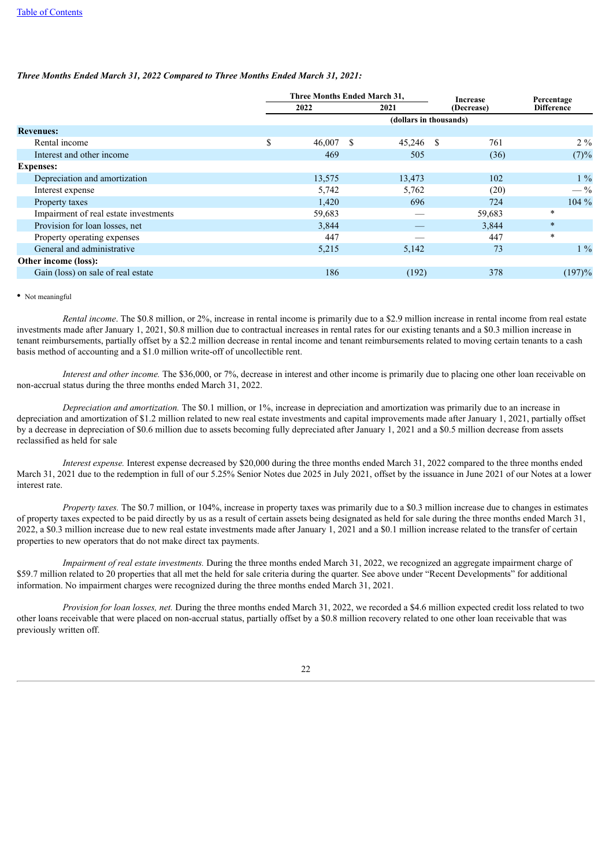## *Three Months Ended March 31, 2022 Compared to Three Months Ended March 31, 2021:*

|                                       |              | Three Months Ended March 31, | Increase               | Percentage        |
|---------------------------------------|--------------|------------------------------|------------------------|-------------------|
|                                       | 2022         | 2021                         | (Decrease)             | <b>Difference</b> |
|                                       |              |                              | (dollars in thousands) |                   |
| <b>Revenues:</b>                      |              |                              |                        |                   |
| Rental income                         | \$<br>46,007 | <sup>\$</sup><br>45,246 \$   | 761                    | $2\%$             |
| Interest and other income             | 469          | 505                          | (36)                   | (7)%              |
| <b>Expenses:</b>                      |              |                              |                        |                   |
| Depreciation and amortization         | 13,575       | 13,473                       | 102                    | $1\%$             |
| Interest expense                      | 5,742        | 5,762                        | (20)                   | $-$ %             |
| Property taxes                        | 1,420        | 696                          | 724                    | $104\%$           |
| Impairment of real estate investments | 59,683       |                              | 59,683                 | $\ast$            |
| Provision for loan losses, net        | 3,844        |                              | 3,844                  | $\ast$            |
| Property operating expenses           | 447          |                              | 447                    | $\ast$            |
| General and administrative            | 5,215        | 5,142                        | 73                     | $1\%$             |
| Other income (loss):                  |              |                              |                        |                   |
| Gain (loss) on sale of real estate    | 186          | (192)                        | 378                    | (197)%            |

#### • Not meaningful

*Rental income*. The \$0.8 million, or 2%, increase in rental income is primarily due to a \$2.9 million increase in rental income from real estate investments made after January 1, 2021, \$0.8 million due to contractual increases in rental rates for our existing tenants and a \$0.3 million increase in tenant reimbursements, partially offset by a \$2.2 million decrease in rental income and tenant reimbursements related to moving certain tenants to a cash basis method of accounting and a \$1.0 million write-off of uncollectible rent.

*Interest and other income.* The \$36,000, or 7%, decrease in interest and other income is primarily due to placing one other loan receivable on non-accrual status during the three months ended March 31, 2022.

*Depreciation and amortization.* The \$0.1 million, or 1%, increase in depreciation and amortization was primarily due to an increase in depreciation and amortization of \$1.2 million related to new real estate investments and capital improvements made after January 1, 2021, partially offset by a decrease in depreciation of \$0.6 million due to assets becoming fully depreciated after January 1, 2021 and a \$0.5 million decrease from assets reclassified as held for sale

*Interest expense.* Interest expense decreased by \$20,000 during the three months ended March 31, 2022 compared to the three months ended March 31, 2021 due to the redemption in full of our 5.25% Senior Notes due 2025 in July 2021, offset by the issuance in June 2021 of our Notes at a lower interest rate.

*Property taxes.* The \$0.7 million, or 104%, increase in property taxes was primarily due to a \$0.3 million increase due to changes in estimates of property taxes expected to be paid directly by us as a result of certain assets being designated as held for sale during the three months ended March 31, 2022, a \$0.3 million increase due to new real estate investments made after January 1, 2021 and a \$0.1 million increase related to the transfer of certain properties to new operators that do not make direct tax payments.

*Impairment of real estate investments.* During the three months ended March 31, 2022, we recognized an aggregate impairment charge of \$59.7 million related to 20 properties that all met the held for sale criteria during the quarter. See above under "Recent Developments" for additional information. No impairment charges were recognized during the three months ended March 31, 2021.

*Provision for loan losses, net.* During the three months ended March 31, 2022, we recorded a \$4.6 million expected credit loss related to two other loans receivable that were placed on non-accrual status, partially offset by a \$0.8 million recovery related to one other loan receivable that was previously written off.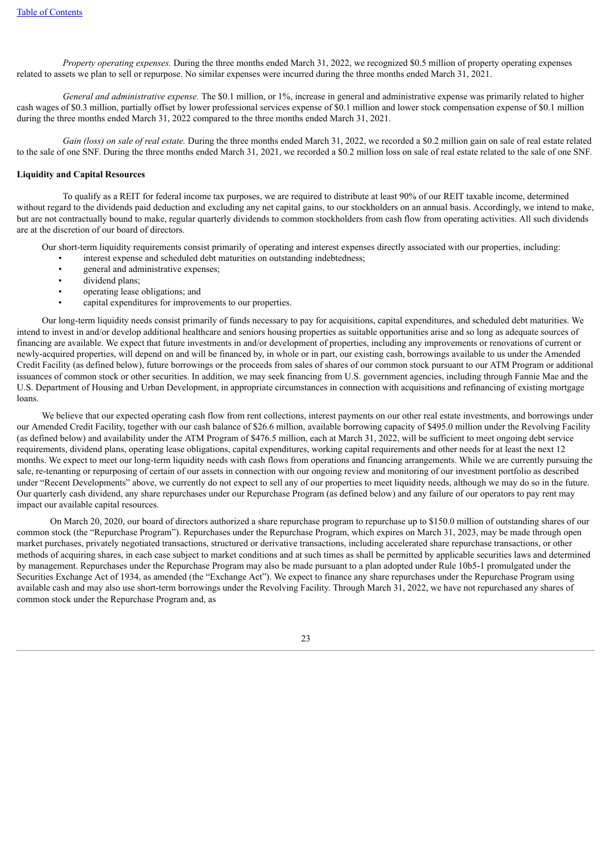*Property operating expenses.* During the three months ended March 31, 2022, we recognized \$0.5 million of property operating expenses related to assets we plan to sell or repurpose. No similar expenses were incurred during the three months ended March 31, 2021.

*General and administrative expense.* The \$0.1 million, or 1%, increase in general and administrative expense was primarily related to higher cash wages of \$0.3 million, partially offset by lower professional services expense of \$0.1 million and lower stock compensation expense of \$0.1 million during the three months ended March 31, 2022 compared to the three months ended March 31, 2021.

*Gain (loss) on sale of real estate.* During the three months ended March 31, 2022, we recorded a \$0.2 million gain on sale of real estate related to the sale of one SNF. During the three months ended March 31, 2021, we recorded a \$0.2 million loss on sale of real estate related to the sale of one SNF.

## **Liquidity and Capital Resources**

To qualify as a REIT for federal income tax purposes, we are required to distribute at least 90% of our REIT taxable income, determined without regard to the dividends paid deduction and excluding any net capital gains, to our stockholders on an annual basis. Accordingly, we intend to make, but are not contractually bound to make, regular quarterly dividends to common stockholders from cash flow from operating activities. All such dividends are at the discretion of our board of directors.

Our short-term liquidity requirements consist primarily of operating and interest expenses directly associated with our properties, including:

- interest expense and scheduled debt maturities on outstanding indebtedness;
- general and administrative expenses;
- dividend plans;
- operating lease obligations; and
- capital expenditures for improvements to our properties.

Our long-term liquidity needs consist primarily of funds necessary to pay for acquisitions, capital expenditures, and scheduled debt maturities. We intend to invest in and/or develop additional healthcare and seniors housing properties as suitable opportunities arise and so long as adequate sources of financing are available. We expect that future investments in and/or development of properties, including any improvements or renovations of current or newly-acquired properties, will depend on and will be financed by, in whole or in part, our existing cash, borrowings available to us under the Amended Credit Facility (as defined below), future borrowings or the proceeds from sales of shares of our common stock pursuant to our ATM Program or additional issuances of common stock or other securities. In addition, we may seek financing from U.S. government agencies, including through Fannie Mae and the U.S. Department of Housing and Urban Development, in appropriate circumstances in connection with acquisitions and refinancing of existing mortgage loans.

We believe that our expected operating cash flow from rent collections, interest payments on our other real estate investments, and borrowings under our Amended Credit Facility, together with our cash balance of \$26.6 million, available borrowing capacity of \$495.0 million under the Revolving Facility (as defined below) and availability under the ATM Program of \$476.5 million, each at March 31, 2022, will be sufficient to meet ongoing debt service requirements, dividend plans, operating lease obligations, capital expenditures, working capital requirements and other needs for at least the next 12 months. We expect to meet our long-term liquidity needs with cash flows from operations and financing arrangements. While we are currently pursuing the sale, re-tenanting or repurposing of certain of our assets in connection with our ongoing review and monitoring of our investment portfolio as described under "Recent Developments" above, we currently do not expect to sell any of our properties to meet liquidity needs, although we may do so in the future. Our quarterly cash dividend, any share repurchases under our Repurchase Program (as defined below) and any failure of our operators to pay rent may impact our available capital resources.

On March 20, 2020, our board of directors authorized a share repurchase program to repurchase up to \$150.0 million of outstanding shares of our common stock (the "Repurchase Program"). Repurchases under the Repurchase Program, which expires on March 31, 2023, may be made through open market purchases, privately negotiated transactions, structured or derivative transactions, including accelerated share repurchase transactions, or other methods of acquiring shares, in each case subject to market conditions and at such times as shall be permitted by applicable securities laws and determined by management. Repurchases under the Repurchase Program may also be made pursuant to a plan adopted under Rule 10b5-1 promulgated under the Securities Exchange Act of 1934, as amended (the "Exchange Act"). We expect to finance any share repurchases under the Repurchase Program using available cash and may also use short-term borrowings under the Revolving Facility. Through March 31, 2022, we have not repurchased any shares of common stock under the Repurchase Program and, as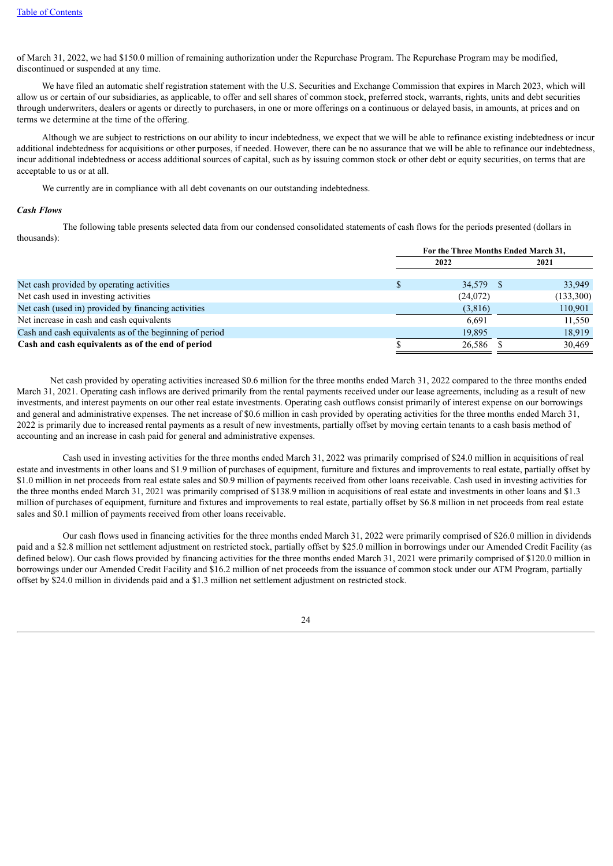of March 31, 2022, we had \$150.0 million of remaining authorization under the Repurchase Program. The Repurchase Program may be modified, discontinued or suspended at any time.

We have filed an automatic shelf registration statement with the U.S. Securities and Exchange Commission that expires in March 2023, which will allow us or certain of our subsidiaries, as applicable, to offer and sell shares of common stock, preferred stock, warrants, rights, units and debt securities through underwriters, dealers or agents or directly to purchasers, in one or more offerings on a continuous or delayed basis, in amounts, at prices and on terms we determine at the time of the offering.

Although we are subject to restrictions on our ability to incur indebtedness, we expect that we will be able to refinance existing indebtedness or incur additional indebtedness for acquisitions or other purposes, if needed. However, there can be no assurance that we will be able to refinance our indebtedness, incur additional indebtedness or access additional sources of capital, such as by issuing common stock or other debt or equity securities, on terms that are acceptable to us or at all.

We currently are in compliance with all debt covenants on our outstanding indebtedness.

#### *Cash Flows*

The following table presents selected data from our condensed consolidated statements of cash flows for the periods presented (dollars in thousands):

|                                                         | For the Three Months Ended March 31, |  |           |
|---------------------------------------------------------|--------------------------------------|--|-----------|
|                                                         | 2022                                 |  |           |
| Net cash provided by operating activities               | 34,579 \$                            |  | 33,949    |
| Net cash used in investing activities                   | (24,072)                             |  | (133,300) |
| Net cash (used in) provided by financing activities     | (3,816)                              |  | 110,901   |
| Net increase in cash and cash equivalents               | 6.691                                |  | 11,550    |
| Cash and cash equivalents as of the beginning of period | 19.895                               |  | 18.919    |
| Cash and cash equivalents as of the end of period       | 26,586                               |  | 30,469    |
|                                                         |                                      |  |           |

Net cash provided by operating activities increased \$0.6 million for the three months ended March 31, 2022 compared to the three months ended March 31, 2021. Operating cash inflows are derived primarily from the rental payments received under our lease agreements, including as a result of new investments, and interest payments on our other real estate investments. Operating cash outflows consist primarily of interest expense on our borrowings and general and administrative expenses. The net increase of \$0.6 million in cash provided by operating activities for the three months ended March 31, 2022 is primarily due to increased rental payments as a result of new investments, partially offset by moving certain tenants to a cash basis method of accounting and an increase in cash paid for general and administrative expenses.

Cash used in investing activities for the three months ended March 31, 2022 was primarily comprised of \$24.0 million in acquisitions of real estate and investments in other loans and \$1.9 million of purchases of equipment, furniture and fixtures and improvements to real estate, partially offset by \$1.0 million in net proceeds from real estate sales and \$0.9 million of payments received from other loans receivable. Cash used in investing activities for the three months ended March 31, 2021 was primarily comprised of \$138.9 million in acquisitions of real estate and investments in other loans and \$1.3 million of purchases of equipment, furniture and fixtures and improvements to real estate, partially offset by \$6.8 million in net proceeds from real estate sales and \$0.1 million of payments received from other loans receivable.

Our cash flows used in financing activities for the three months ended March 31, 2022 were primarily comprised of \$26.0 million in dividends paid and a \$2.8 million net settlement adjustment on restricted stock, partially offset by \$25.0 million in borrowings under our Amended Credit Facility (as defined below). Our cash flows provided by financing activities for the three months ended March 31, 2021 were primarily comprised of \$120.0 million in borrowings under our Amended Credit Facility and \$16.2 million of net proceeds from the issuance of common stock under our ATM Program, partially offset by \$24.0 million in dividends paid and a \$1.3 million net settlement adjustment on restricted stock.

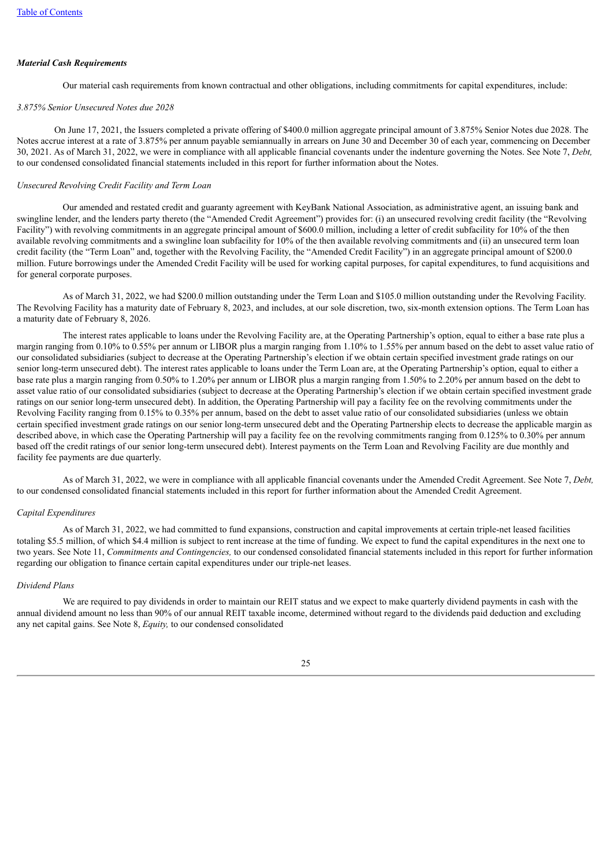#### *Material Cash Requirements*

Our material cash requirements from known contractual and other obligations, including commitments for capital expenditures, include:

#### *3.875% Senior Unsecured Notes due 2028*

On June 17, 2021, the Issuers completed a private offering of \$400.0 million aggregate principal amount of 3.875% Senior Notes due 2028. The Notes accrue interest at a rate of 3.875% per annum payable semiannually in arrears on June 30 and December 30 of each year, commencing on December 30, 2021. As of March 31, 2022, we were in compliance with all applicable financial covenants under the indenture governing the Notes. See Note 7, *Debt,* to our condensed consolidated financial statements included in this report for further information about the Notes.

## *Unsecured Revolving Credit Facility and Term Loan*

Our amended and restated credit and guaranty agreement with KeyBank National Association, as administrative agent, an issuing bank and swingline lender, and the lenders party thereto (the "Amended Credit Agreement") provides for: (i) an unsecured revolving credit facility (the "Revolving Facility") with revolving commitments in an aggregate principal amount of \$600.0 million, including a letter of credit subfacility for 10% of the then available revolving commitments and a swingline loan subfacility for 10% of the then available revolving commitments and (ii) an unsecured term loan credit facility (the "Term Loan" and, together with the Revolving Facility, the "Amended Credit Facility") in an aggregate principal amount of \$200.0 million. Future borrowings under the Amended Credit Facility will be used for working capital purposes, for capital expenditures, to fund acquisitions and for general corporate purposes.

As of March 31, 2022, we had \$200.0 million outstanding under the Term Loan and \$105.0 million outstanding under the Revolving Facility. The Revolving Facility has a maturity date of February 8, 2023, and includes, at our sole discretion, two, six-month extension options. The Term Loan has a maturity date of February 8, 2026.

The interest rates applicable to loans under the Revolving Facility are, at the Operating Partnership's option, equal to either a base rate plus a margin ranging from 0.10% to 0.55% per annum or LIBOR plus a margin ranging from 1.10% to 1.55% per annum based on the debt to asset value ratio of our consolidated subsidiaries (subject to decrease at the Operating Partnership's election if we obtain certain specified investment grade ratings on our senior long-term unsecured debt). The interest rates applicable to loans under the Term Loan are, at the Operating Partnership's option, equal to either a base rate plus a margin ranging from 0.50% to 1.20% per annum or LIBOR plus a margin ranging from 1.50% to 2.20% per annum based on the debt to asset value ratio of our consolidated subsidiaries (subject to decrease at the Operating Partnership's election if we obtain certain specified investment grade ratings on our senior long-term unsecured debt). In addition, the Operating Partnership will pay a facility fee on the revolving commitments under the Revolving Facility ranging from 0.15% to 0.35% per annum, based on the debt to asset value ratio of our consolidated subsidiaries (unless we obtain certain specified investment grade ratings on our senior long-term unsecured debt and the Operating Partnership elects to decrease the applicable margin as described above, in which case the Operating Partnership will pay a facility fee on the revolving commitments ranging from 0.125% to 0.30% per annum based off the credit ratings of our senior long-term unsecured debt). Interest payments on the Term Loan and Revolving Facility are due monthly and facility fee payments are due quarterly.

As of March 31, 2022, we were in compliance with all applicable financial covenants under the Amended Credit Agreement. See Note 7, *Debt,* to our condensed consolidated financial statements included in this report for further information about the Amended Credit Agreement.

#### *Capital Expenditures*

As of March 31, 2022, we had committed to fund expansions, construction and capital improvements at certain triple-net leased facilities totaling \$5.5 million, of which \$4.4 million is subject to rent increase at the time of funding. We expect to fund the capital expenditures in the next one to two years. See Note 11, *Commitments and Contingencies,* to our condensed consolidated financial statements included in this report for further information regarding our obligation to finance certain capital expenditures under our triple-net leases.

## *Dividend Plans*

We are required to pay dividends in order to maintain our REIT status and we expect to make quarterly dividend payments in cash with the annual dividend amount no less than 90% of our annual REIT taxable income, determined without regard to the dividends paid deduction and excluding any net capital gains. See Note 8, *Equity,* to our condensed consolidated

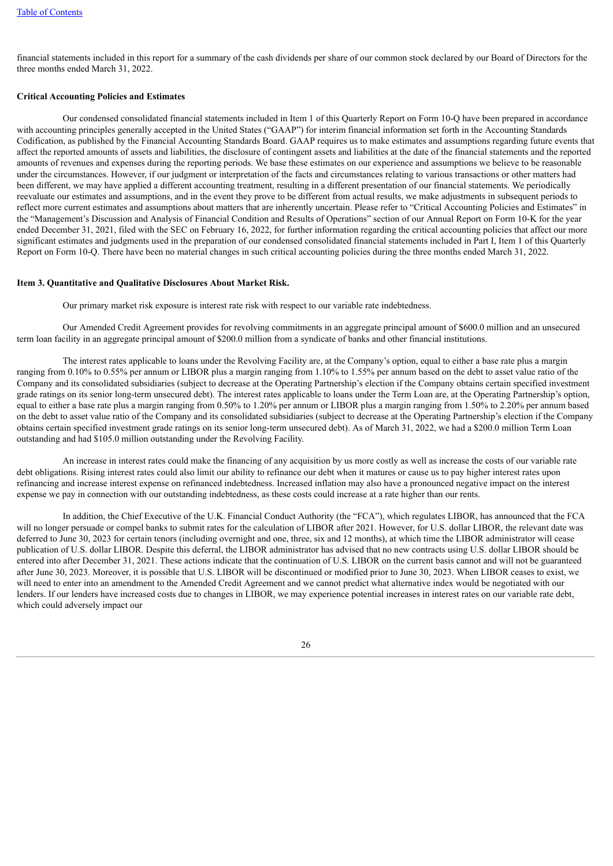financial statements included in this report for a summary of the cash dividends per share of our common stock declared by our Board of Directors for the three months ended March 31, 2022.

## **Critical Accounting Policies and Estimates**

Our condensed consolidated financial statements included in Item 1 of this Quarterly Report on Form 10-Q have been prepared in accordance with accounting principles generally accepted in the United States ("GAAP") for interim financial information set forth in the Accounting Standards Codification, as published by the Financial Accounting Standards Board. GAAP requires us to make estimates and assumptions regarding future events that affect the reported amounts of assets and liabilities, the disclosure of contingent assets and liabilities at the date of the financial statements and the reported amounts of revenues and expenses during the reporting periods. We base these estimates on our experience and assumptions we believe to be reasonable under the circumstances. However, if our judgment or interpretation of the facts and circumstances relating to various transactions or other matters had been different, we may have applied a different accounting treatment, resulting in a different presentation of our financial statements. We periodically reevaluate our estimates and assumptions, and in the event they prove to be different from actual results, we make adjustments in subsequent periods to reflect more current estimates and assumptions about matters that are inherently uncertain. Please refer to "Critical Accounting Policies and Estimates" in the "Management's Discussion and Analysis of Financial Condition and Results of Operations" section of our Annual Report on Form 10-K for the year ended December 31, 2021, filed with the SEC on February 16, 2022, for further information regarding the critical accounting policies that affect our more significant estimates and judgments used in the preparation of our condensed consolidated financial statements included in Part I, Item 1 of this Quarterly Report on Form 10-Q. There have been no material changes in such critical accounting policies during the three months ended March 31, 2022.

#### <span id="page-28-0"></span>**Item 3. Quantitative and Qualitative Disclosures About Market Risk.**

Our primary market risk exposure is interest rate risk with respect to our variable rate indebtedness.

Our Amended Credit Agreement provides for revolving commitments in an aggregate principal amount of \$600.0 million and an unsecured term loan facility in an aggregate principal amount of \$200.0 million from a syndicate of banks and other financial institutions.

The interest rates applicable to loans under the Revolving Facility are, at the Company's option, equal to either a base rate plus a margin ranging from 0.10% to 0.55% per annum or LIBOR plus a margin ranging from 1.10% to 1.55% per annum based on the debt to asset value ratio of the Company and its consolidated subsidiaries (subject to decrease at the Operating Partnership's election if the Company obtains certain specified investment grade ratings on its senior long-term unsecured debt). The interest rates applicable to loans under the Term Loan are, at the Operating Partnership's option, equal to either a base rate plus a margin ranging from 0.50% to 1.20% per annum or LIBOR plus a margin ranging from 1.50% to 2.20% per annum based on the debt to asset value ratio of the Company and its consolidated subsidiaries (subject to decrease at the Operating Partnership's election if the Company obtains certain specified investment grade ratings on its senior long-term unsecured debt). As of March 31, 2022, we had a \$200.0 million Term Loan outstanding and had \$105.0 million outstanding under the Revolving Facility.

An increase in interest rates could make the financing of any acquisition by us more costly as well as increase the costs of our variable rate debt obligations. Rising interest rates could also limit our ability to refinance our debt when it matures or cause us to pay higher interest rates upon refinancing and increase interest expense on refinanced indebtedness. Increased inflation may also have a pronounced negative impact on the interest expense we pay in connection with our outstanding indebtedness, as these costs could increase at a rate higher than our rents.

In addition, the Chief Executive of the U.K. Financial Conduct Authority (the "FCA"), which regulates LIBOR, has announced that the FCA will no longer persuade or compel banks to submit rates for the calculation of LIBOR after 2021. However, for U.S. dollar LIBOR, the relevant date was deferred to June 30, 2023 for certain tenors (including overnight and one, three, six and 12 months), at which time the LIBOR administrator will cease publication of U.S. dollar LIBOR. Despite this deferral, the LIBOR administrator has advised that no new contracts using U.S. dollar LIBOR should be entered into after December 31, 2021. These actions indicate that the continuation of U.S. LIBOR on the current basis cannot and will not be guaranteed after June 30, 2023. Moreover, it is possible that U.S. LIBOR will be discontinued or modified prior to June 30, 2023. When LIBOR ceases to exist, we will need to enter into an amendment to the Amended Credit Agreement and we cannot predict what alternative index would be negotiated with our lenders. If our lenders have increased costs due to changes in LIBOR, we may experience potential increases in interest rates on our variable rate debt, which could adversely impact our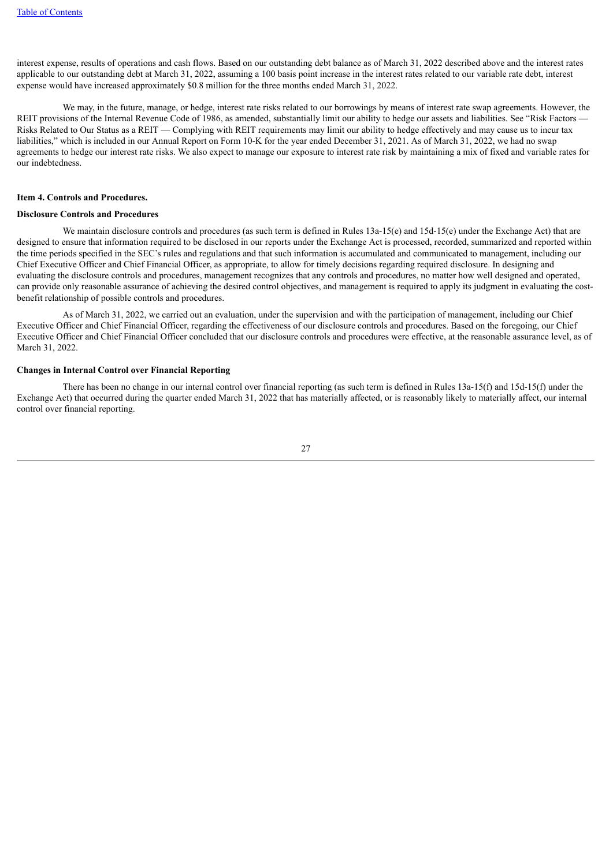interest expense, results of operations and cash flows. Based on our outstanding debt balance as of March 31, 2022 described above and the interest rates applicable to our outstanding debt at March 31, 2022, assuming a 100 basis point increase in the interest rates related to our variable rate debt, interest expense would have increased approximately \$0.8 million for the three months ended March 31, 2022.

We may, in the future, manage, or hedge, interest rate risks related to our borrowings by means of interest rate swap agreements. However, the REIT provisions of the Internal Revenue Code of 1986, as amended, substantially limit our ability to hedge our assets and liabilities. See "Risk Factors -Risks Related to Our Status as a REIT — Complying with REIT requirements may limit our ability to hedge effectively and may cause us to incur tax liabilities," which is included in our Annual Report on Form 10-K for the year ended December 31, 2021. As of March 31, 2022, we had no swap agreements to hedge our interest rate risks. We also expect to manage our exposure to interest rate risk by maintaining a mix of fixed and variable rates for our indebtedness.

#### <span id="page-29-0"></span>**Item 4. Controls and Procedures.**

#### **Disclosure Controls and Procedures**

We maintain disclosure controls and procedures (as such term is defined in Rules 13a-15(e) and 15d-15(e) under the Exchange Act) that are designed to ensure that information required to be disclosed in our reports under the Exchange Act is processed, recorded, summarized and reported within the time periods specified in the SEC's rules and regulations and that such information is accumulated and communicated to management, including our Chief Executive Officer and Chief Financial Officer, as appropriate, to allow for timely decisions regarding required disclosure. In designing and evaluating the disclosure controls and procedures, management recognizes that any controls and procedures, no matter how well designed and operated, can provide only reasonable assurance of achieving the desired control objectives, and management is required to apply its judgment in evaluating the costbenefit relationship of possible controls and procedures.

As of March 31, 2022, we carried out an evaluation, under the supervision and with the participation of management, including our Chief Executive Officer and Chief Financial Officer, regarding the effectiveness of our disclosure controls and procedures. Based on the foregoing, our Chief Executive Officer and Chief Financial Officer concluded that our disclosure controls and procedures were effective, at the reasonable assurance level, as of March 31, 2022.

#### **Changes in Internal Control over Financial Reporting**

There has been no change in our internal control over financial reporting (as such term is defined in Rules 13a-15(f) and 15d-15(f) under the Exchange Act) that occurred during the quarter ended March 31, 2022 that has materially affected, or is reasonably likely to materially affect, our internal control over financial reporting.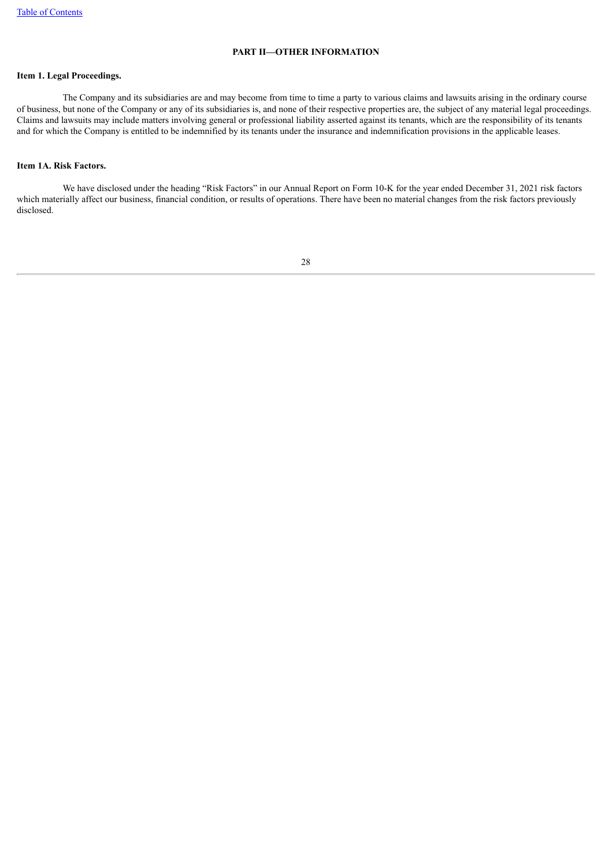## **PART II—OTHER INFORMATION**

## <span id="page-30-0"></span>**Item 1. Legal Proceedings.**

The Company and its subsidiaries are and may become from time to time a party to various claims and lawsuits arising in the ordinary course of business, but none of the Company or any of its subsidiaries is, and none of their respective properties are, the subject of any material legal proceedings. Claims and lawsuits may include matters involving general or professional liability asserted against its tenants, which are the responsibility of its tenants and for which the Company is entitled to be indemnified by its tenants under the insurance and indemnification provisions in the applicable leases.

### <span id="page-30-1"></span>**Item 1A. Risk Factors.**

We have disclosed under the heading "Risk Factors" in our Annual Report on Form 10-K for the year ended December 31, 2021 risk factors which materially affect our business, financial condition, or results of operations. There have been no material changes from the risk factors previously disclosed.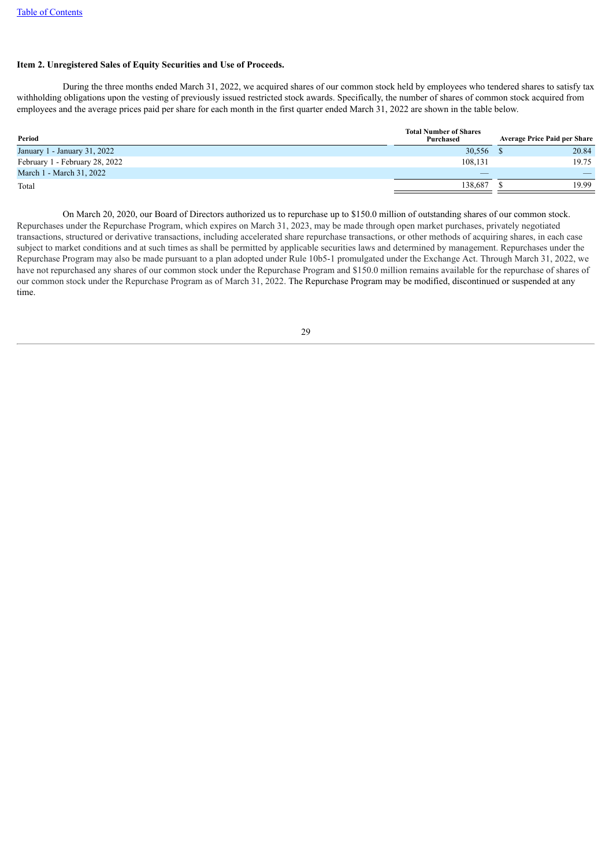## <span id="page-31-0"></span>**Item 2. Unregistered Sales of Equity Securities and Use of Proceeds.**

During the three months ended March 31, 2022, we acquired shares of our common stock held by employees who tendered shares to satisfy tax withholding obligations upon the vesting of previously issued restricted stock awards. Specifically, the number of shares of common stock acquired from employees and the average prices paid per share for each month in the first quarter ended March 31, 2022 are shown in the table below.

| Period                         | <b>Total Number of Shares</b><br>Purchased | <b>Average Price Paid per Share</b> |
|--------------------------------|--------------------------------------------|-------------------------------------|
| January 1 - January 31, 2022   | 30,556                                     | 20.84                               |
| February 1 - February 28, 2022 | 108,131                                    | 19.75                               |
| March 1 - March 31, 2022       |                                            |                                     |
| Total                          | 138.687                                    | 19.99                               |

On March 20, 2020, our Board of Directors authorized us to repurchase up to \$150.0 million of outstanding shares of our common stock. Repurchases under the Repurchase Program, which expires on March 31, 2023, may be made through open market purchases, privately negotiated transactions, structured or derivative transactions, including accelerated share repurchase transactions, or other methods of acquiring shares, in each case subject to market conditions and at such times as shall be permitted by applicable securities laws and determined by management. Repurchases under the Repurchase Program may also be made pursuant to a plan adopted under Rule 10b5-1 promulgated under the Exchange Act. Through March 31, 2022, we have not repurchased any shares of our common stock under the Repurchase Program and \$150.0 million remains available for the repurchase of shares of our common stock under the Repurchase Program as of March 31, 2022. The Repurchase Program may be modified, discontinued or suspended at any time.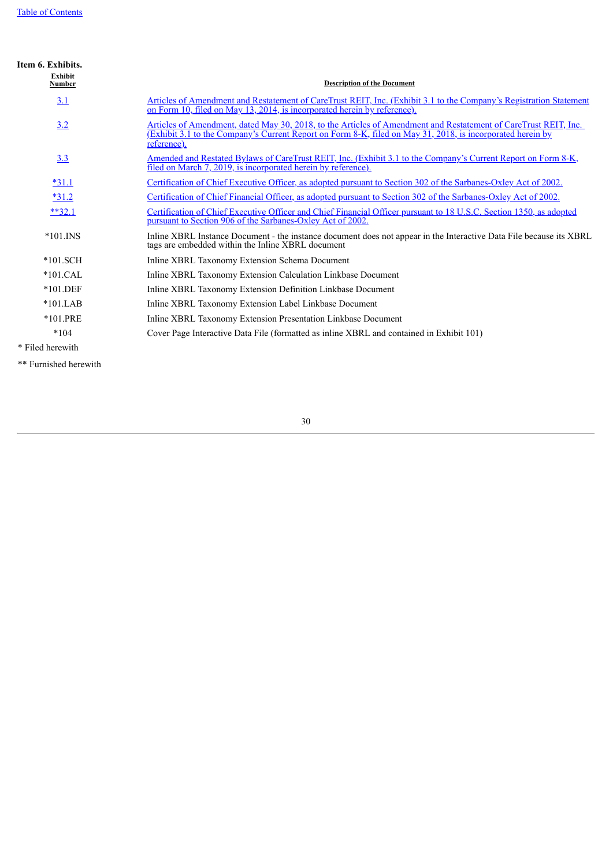<span id="page-32-1"></span><span id="page-32-0"></span>

| Item 6. Exhibits.        |                                                                                                                                                                                                                                                     |
|--------------------------|-----------------------------------------------------------------------------------------------------------------------------------------------------------------------------------------------------------------------------------------------------|
| <b>Exhibit</b><br>Number | <b>Description of the Document</b>                                                                                                                                                                                                                  |
| 3.1                      | Articles of Amendment and Restatement of CareTrust REIT, Inc. (Exhibit 3.1 to the Company's Registration Statement<br>on Form 10, filed on May 13, 2014, is incorporated herein by reference).                                                      |
| 3.2                      | Articles of Amendment, dated May 30, 2018, to the Articles of Amendment and Restatement of CareTrust REIT, Inc.<br><u>(Exhibit 3.1 to the Company's Current Report on Form 8-K, filed on May 31, 2018, is incorporated herein by</u><br>reference). |
| 3.3                      | Amended and Restated Bylaws of CareTrust REIT, Inc. (Exhibit 3.1 to the Company's Current Report on Form 8-K,<br>filed on March 7, 2019, is incorporated herein by reference).                                                                      |
| $*31.1$                  | Certification of Chief Executive Officer, as adopted pursuant to Section 302 of the Sarbanes-Oxley Act of 2002.                                                                                                                                     |
| $*31.2$                  | Certification of Chief Financial Officer, as adopted pursuant to Section 302 of the Sarbanes-Oxley Act of 2002.                                                                                                                                     |
| $*32.1$                  | Certification of Chief Executive Officer and Chief Financial Officer pursuant to 18 U.S.C. Section 1350, as adopted<br>pursuant to Section 906 of the Sarbanes-Oxley Act of 2002.                                                                   |
| $*101$ INS               | Inline XBRL Instance Document - the instance document does not appear in the Interactive Data File because its XBRL<br>tags are embedded within the Inline XBRL document                                                                            |
| $*101$ .SCH              | Inline XBRL Taxonomy Extension Schema Document                                                                                                                                                                                                      |
| $*101.CAL$               | Inline XBRL Taxonomy Extension Calculation Linkbase Document                                                                                                                                                                                        |
| $*101$ DEF               | Inline XBRL Taxonomy Extension Definition Linkbase Document                                                                                                                                                                                         |
| $*101$ LAB               | Inline XBRL Taxonomy Extension Label Linkbase Document                                                                                                                                                                                              |
| $*101.PRE$               | Inline XBRL Taxonomy Extension Presentation Linkbase Document                                                                                                                                                                                       |
| $*104$                   | Cover Page Interactive Data File (formatted as inline XBRL and contained in Exhibit 101)                                                                                                                                                            |
| * Filed herewith         |                                                                                                                                                                                                                                                     |
| ** Furnished herewith    |                                                                                                                                                                                                                                                     |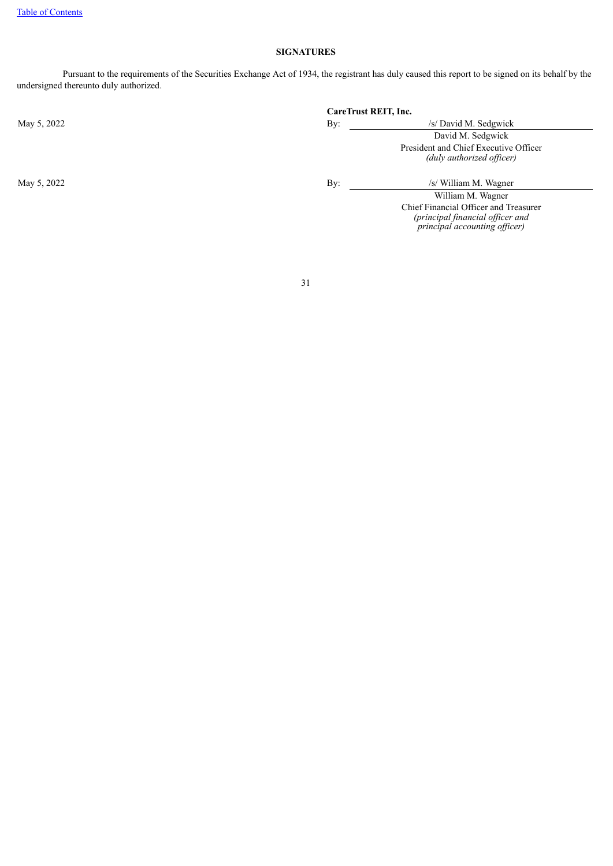## **SIGNATURES**

Pursuant to the requirements of the Securities Exchange Act of 1934, the registrant has duly caused this report to be signed on its behalf by the undersigned thereunto duly authorized.

**CareTrust REIT, Inc.** May 5, 2022 <br>By: /s/ David M. Sedgwick David M. Sedgwick President and Chief Executive Officer *(duly authorized of icer)*

May 5, 2022 *By: /s/ William M. Wagner* 

William M. Wagner Chief Financial Officer and Treasurer *(principal financial of icer and principal accounting of icer)*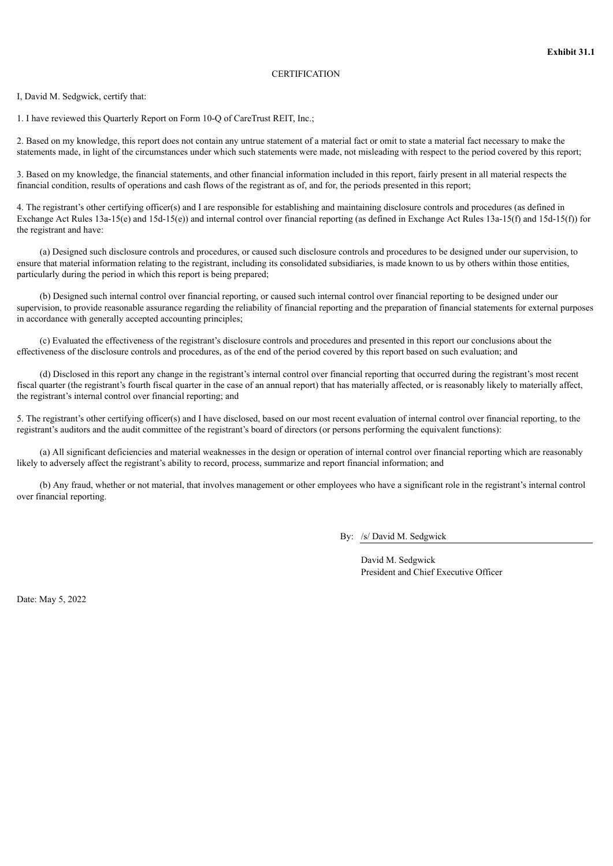#### **CERTIFICATION**

<span id="page-34-0"></span>I, David M. Sedgwick, certify that:

1. I have reviewed this Quarterly Report on Form 10-Q of CareTrust REIT, Inc.;

2. Based on my knowledge, this report does not contain any untrue statement of a material fact or omit to state a material fact necessary to make the statements made, in light of the circumstances under which such statements were made, not misleading with respect to the period covered by this report;

3. Based on my knowledge, the financial statements, and other financial information included in this report, fairly present in all material respects the financial condition, results of operations and cash flows of the registrant as of, and for, the periods presented in this report;

4. The registrant's other certifying officer(s) and I are responsible for establishing and maintaining disclosure controls and procedures (as defined in Exchange Act Rules 13a-15(e) and 15d-15(e)) and internal control over financial reporting (as defined in Exchange Act Rules 13a-15(f) and 15d-15(f)) for the registrant and have:

(a) Designed such disclosure controls and procedures, or caused such disclosure controls and procedures to be designed under our supervision, to ensure that material information relating to the registrant, including its consolidated subsidiaries, is made known to us by others within those entities, particularly during the period in which this report is being prepared;

(b) Designed such internal control over financial reporting, or caused such internal control over financial reporting to be designed under our supervision, to provide reasonable assurance regarding the reliability of financial reporting and the preparation of financial statements for external purposes in accordance with generally accepted accounting principles;

(c) Evaluated the effectiveness of the registrant's disclosure controls and procedures and presented in this report our conclusions about the effectiveness of the disclosure controls and procedures, as of the end of the period covered by this report based on such evaluation; and

(d) Disclosed in this report any change in the registrant's internal control over financial reporting that occurred during the registrant's most recent fiscal quarter (the registrant's fourth fiscal quarter in the case of an annual report) that has materially affected, or is reasonably likely to materially affect, the registrant's internal control over financial reporting; and

5. The registrant's other certifying officer(s) and I have disclosed, based on our most recent evaluation of internal control over financial reporting, to the registrant's auditors and the audit committee of the registrant's board of directors (or persons performing the equivalent functions):

(a) All significant deficiencies and material weaknesses in the design or operation of internal control over financial reporting which are reasonably likely to adversely affect the registrant's ability to record, process, summarize and report financial information; and

(b) Any fraud, whether or not material, that involves management or other employees who have a significant role in the registrant's internal control over financial reporting.

By: /s/ David M. Sedgwick

David M. Sedgwick President and Chief Executive Officer

Date: May 5, 2022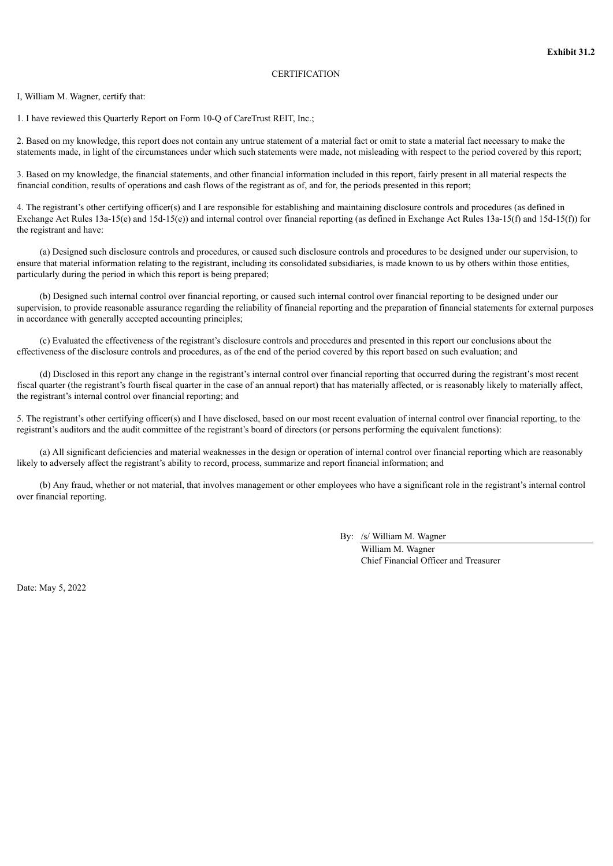#### **CERTIFICATION**

<span id="page-35-0"></span>I, William M. Wagner, certify that:

1. I have reviewed this Quarterly Report on Form 10-Q of CareTrust REIT, Inc.;

2. Based on my knowledge, this report does not contain any untrue statement of a material fact or omit to state a material fact necessary to make the statements made, in light of the circumstances under which such statements were made, not misleading with respect to the period covered by this report;

3. Based on my knowledge, the financial statements, and other financial information included in this report, fairly present in all material respects the financial condition, results of operations and cash flows of the registrant as of, and for, the periods presented in this report;

4. The registrant's other certifying officer(s) and I are responsible for establishing and maintaining disclosure controls and procedures (as defined in Exchange Act Rules 13a-15(e) and 15d-15(e)) and internal control over financial reporting (as defined in Exchange Act Rules 13a-15(f) and 15d-15(f)) for the registrant and have:

(a) Designed such disclosure controls and procedures, or caused such disclosure controls and procedures to be designed under our supervision, to ensure that material information relating to the registrant, including its consolidated subsidiaries, is made known to us by others within those entities, particularly during the period in which this report is being prepared;

(b) Designed such internal control over financial reporting, or caused such internal control over financial reporting to be designed under our supervision, to provide reasonable assurance regarding the reliability of financial reporting and the preparation of financial statements for external purposes in accordance with generally accepted accounting principles;

(c) Evaluated the effectiveness of the registrant's disclosure controls and procedures and presented in this report our conclusions about the effectiveness of the disclosure controls and procedures, as of the end of the period covered by this report based on such evaluation; and

(d) Disclosed in this report any change in the registrant's internal control over financial reporting that occurred during the registrant's most recent fiscal quarter (the registrant's fourth fiscal quarter in the case of an annual report) that has materially affected, or is reasonably likely to materially affect, the registrant's internal control over financial reporting; and

5. The registrant's other certifying officer(s) and I have disclosed, based on our most recent evaluation of internal control over financial reporting, to the registrant's auditors and the audit committee of the registrant's board of directors (or persons performing the equivalent functions):

(a) All significant deficiencies and material weaknesses in the design or operation of internal control over financial reporting which are reasonably likely to adversely affect the registrant's ability to record, process, summarize and report financial information; and

(b) Any fraud, whether or not material, that involves management or other employees who have a significant role in the registrant's internal control over financial reporting.

By: /s/ William M. Wagner

William M. Wagner Chief Financial Officer and Treasurer

Date: May 5, 2022